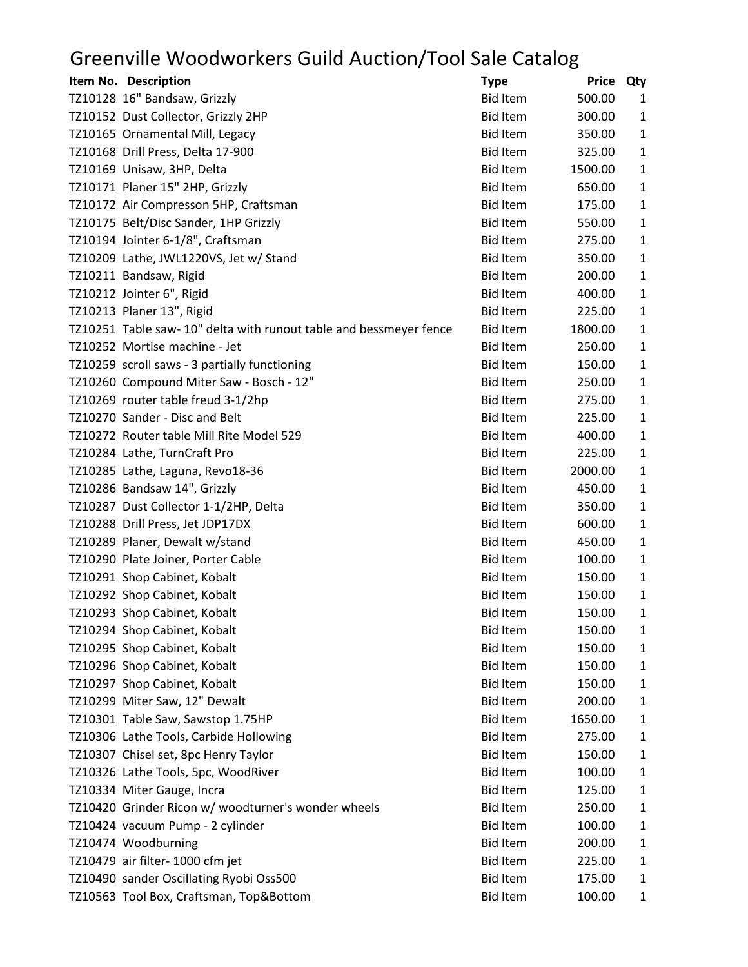## Greenville Woodworkers Guild Auction/Tool Sale Catalog

| Item No. Description                                               | <b>Type</b>     | <b>Price</b> | Qty          |
|--------------------------------------------------------------------|-----------------|--------------|--------------|
| TZ10128 16" Bandsaw, Grizzly                                       | <b>Bid Item</b> | 500.00       | 1            |
| TZ10152 Dust Collector, Grizzly 2HP                                | <b>Bid Item</b> | 300.00       | 1            |
| TZ10165 Ornamental Mill, Legacy                                    | <b>Bid Item</b> | 350.00       | $\mathbf{1}$ |
| TZ10168 Drill Press, Delta 17-900                                  | <b>Bid Item</b> | 325.00       | 1            |
| TZ10169 Unisaw, 3HP, Delta                                         | <b>Bid Item</b> | 1500.00      | $\mathbf{1}$ |
| TZ10171 Planer 15" 2HP, Grizzly                                    | <b>Bid Item</b> | 650.00       | $\mathbf{1}$ |
| TZ10172 Air Compresson 5HP, Craftsman                              | <b>Bid Item</b> | 175.00       | $\mathbf{1}$ |
| TZ10175 Belt/Disc Sander, 1HP Grizzly                              | <b>Bid Item</b> | 550.00       | 1            |
| TZ10194 Jointer 6-1/8", Craftsman                                  | <b>Bid Item</b> | 275.00       | $\mathbf{1}$ |
| TZ10209 Lathe, JWL1220VS, Jet w/ Stand                             | <b>Bid Item</b> | 350.00       | $\mathbf{1}$ |
| TZ10211 Bandsaw, Rigid                                             | <b>Bid Item</b> | 200.00       | $\mathbf{1}$ |
| TZ10212 Jointer 6", Rigid                                          | <b>Bid Item</b> | 400.00       | $\mathbf{1}$ |
| TZ10213 Planer 13", Rigid                                          | <b>Bid Item</b> | 225.00       | $\mathbf{1}$ |
| TZ10251 Table saw- 10" delta with runout table and bessmeyer fence | <b>Bid Item</b> | 1800.00      | 1            |
| TZ10252 Mortise machine - Jet                                      | <b>Bid Item</b> | 250.00       | $\mathbf{1}$ |
| TZ10259 scroll saws - 3 partially functioning                      | <b>Bid Item</b> | 150.00       | $\mathbf{1}$ |
| TZ10260 Compound Miter Saw - Bosch - 12"                           | <b>Bid Item</b> | 250.00       | $\mathbf{1}$ |
| TZ10269 router table freud 3-1/2hp                                 | <b>Bid Item</b> | 275.00       | 1            |
| TZ10270 Sander - Disc and Belt                                     | <b>Bid Item</b> | 225.00       | $\mathbf{1}$ |
| TZ10272 Router table Mill Rite Model 529                           | <b>Bid Item</b> | 400.00       | $\mathbf{1}$ |
| TZ10284 Lathe, TurnCraft Pro                                       | <b>Bid Item</b> | 225.00       | $\mathbf{1}$ |
| TZ10285 Lathe, Laguna, Revo18-36                                   | <b>Bid Item</b> | 2000.00      | $\mathbf{1}$ |
| TZ10286 Bandsaw 14", Grizzly                                       | <b>Bid Item</b> | 450.00       | 1            |
| TZ10287 Dust Collector 1-1/2HP, Delta                              | <b>Bid Item</b> | 350.00       | 1            |
| TZ10288 Drill Press, Jet JDP17DX                                   | <b>Bid Item</b> | 600.00       | $\mathbf{1}$ |
| TZ10289 Planer, Dewalt w/stand                                     | <b>Bid Item</b> | 450.00       | $\mathbf{1}$ |
| TZ10290 Plate Joiner, Porter Cable                                 | <b>Bid Item</b> | 100.00       | $\mathbf{1}$ |
| TZ10291 Shop Cabinet, Kobalt                                       | <b>Bid Item</b> | 150.00       | 1            |
| TZ10292 Shop Cabinet, Kobalt                                       | <b>Bid Item</b> | 150.00       | 1            |
| TZ10293 Shop Cabinet, Kobalt                                       | <b>Bid Item</b> | 150.00       | 1            |
| TZ10294 Shop Cabinet, Kobalt                                       | <b>Bid Item</b> | 150.00       | 1            |
| TZ10295 Shop Cabinet, Kobalt                                       | <b>Bid Item</b> | 150.00       | 1            |
| TZ10296 Shop Cabinet, Kobalt                                       | <b>Bid Item</b> | 150.00       | $\mathbf{1}$ |
| TZ10297 Shop Cabinet, Kobalt                                       | <b>Bid Item</b> | 150.00       | 1            |
| TZ10299 Miter Saw, 12" Dewalt                                      | <b>Bid Item</b> | 200.00       | 1            |
| TZ10301 Table Saw, Sawstop 1.75HP                                  | <b>Bid Item</b> | 1650.00      | $\mathbf{1}$ |
| TZ10306 Lathe Tools, Carbide Hollowing                             | <b>Bid Item</b> | 275.00       | $\mathbf{1}$ |
| TZ10307 Chisel set, 8pc Henry Taylor                               | <b>Bid Item</b> | 150.00       | $\mathbf{1}$ |
| TZ10326 Lathe Tools, 5pc, WoodRiver                                | <b>Bid Item</b> | 100.00       | $\mathbf{1}$ |
| TZ10334 Miter Gauge, Incra                                         | <b>Bid Item</b> | 125.00       | 1            |
| TZ10420 Grinder Ricon w/ woodturner's wonder wheels                | <b>Bid Item</b> | 250.00       | $\mathbf{1}$ |
| TZ10424 vacuum Pump - 2 cylinder                                   | <b>Bid Item</b> | 100.00       | $\mathbf{1}$ |
| TZ10474 Woodburning                                                | <b>Bid Item</b> | 200.00       | $\mathbf{1}$ |
| TZ10479 air filter- 1000 cfm jet                                   | <b>Bid Item</b> | 225.00       | 1            |
| TZ10490 sander Oscillating Ryobi Oss500                            | <b>Bid Item</b> | 175.00       | 1            |
| TZ10563 Tool Box, Craftsman, Top&Bottom                            | <b>Bid Item</b> | 100.00       | 1            |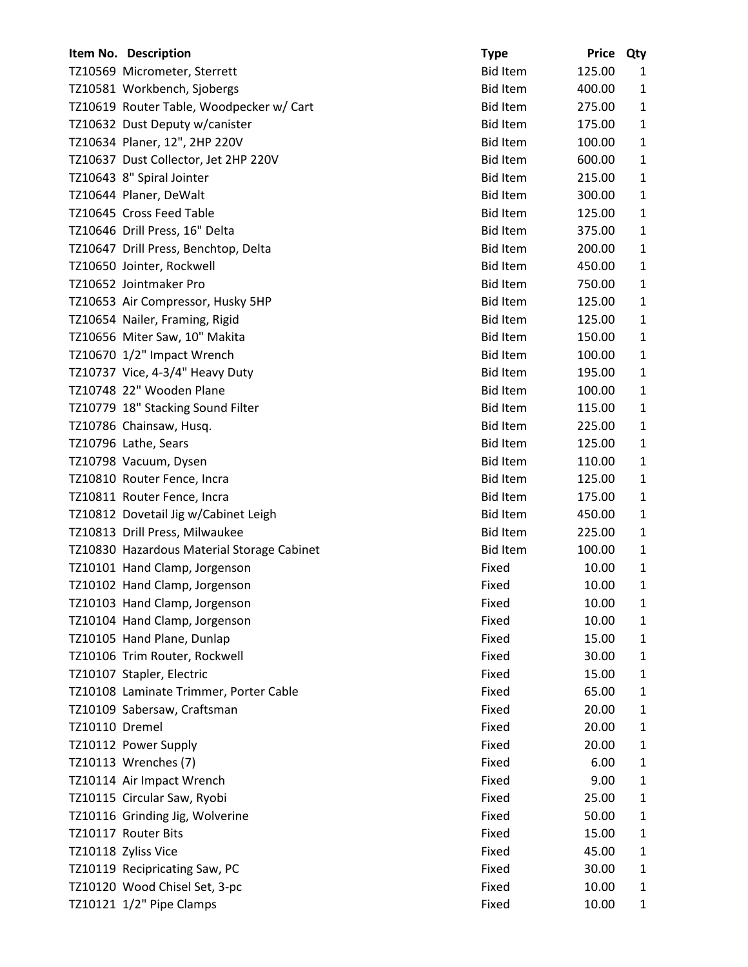|                | Item No. Description                       | <b>Type</b>     | <b>Price</b> | Qty          |
|----------------|--------------------------------------------|-----------------|--------------|--------------|
|                | TZ10569 Micrometer, Sterrett               | <b>Bid Item</b> | 125.00       | 1            |
|                | TZ10581 Workbench, Sjobergs                | <b>Bid Item</b> | 400.00       | $\mathbf{1}$ |
|                | TZ10619 Router Table, Woodpecker w/ Cart   | <b>Bid Item</b> | 275.00       | $\mathbf{1}$ |
|                | TZ10632 Dust Deputy w/canister             | <b>Bid Item</b> | 175.00       | $\mathbf{1}$ |
|                | TZ10634 Planer, 12", 2HP 220V              | <b>Bid Item</b> | 100.00       | $\mathbf{1}$ |
|                | TZ10637 Dust Collector, Jet 2HP 220V       | <b>Bid Item</b> | 600.00       | $\mathbf{1}$ |
|                | TZ10643 8" Spiral Jointer                  | <b>Bid Item</b> | 215.00       | $\mathbf{1}$ |
|                | TZ10644 Planer, DeWalt                     | <b>Bid Item</b> | 300.00       | $\mathbf{1}$ |
|                | TZ10645 Cross Feed Table                   | <b>Bid Item</b> | 125.00       | 1            |
|                | TZ10646 Drill Press, 16" Delta             | <b>Bid Item</b> | 375.00       | $\mathbf{1}$ |
|                | TZ10647 Drill Press, Benchtop, Delta       | <b>Bid Item</b> | 200.00       | $\mathbf{1}$ |
|                | TZ10650 Jointer, Rockwell                  | <b>Bid Item</b> | 450.00       | $\mathbf{1}$ |
|                | TZ10652 Jointmaker Pro                     | <b>Bid Item</b> | 750.00       | $\mathbf{1}$ |
|                | TZ10653 Air Compressor, Husky 5HP          | <b>Bid Item</b> | 125.00       | $\mathbf{1}$ |
|                | TZ10654 Nailer, Framing, Rigid             | <b>Bid Item</b> | 125.00       | $\mathbf{1}$ |
|                | TZ10656 Miter Saw, 10" Makita              | <b>Bid Item</b> | 150.00       | $\mathbf{1}$ |
|                | TZ10670 1/2" Impact Wrench                 | <b>Bid Item</b> | 100.00       | $\mathbf{1}$ |
|                | TZ10737 Vice, 4-3/4" Heavy Duty            | <b>Bid Item</b> | 195.00       | 1            |
|                | TZ10748 22" Wooden Plane                   | <b>Bid Item</b> | 100.00       | $\mathbf{1}$ |
|                | TZ10779 18" Stacking Sound Filter          | <b>Bid Item</b> | 115.00       | $\mathbf{1}$ |
|                | TZ10786 Chainsaw, Husq.                    | <b>Bid Item</b> | 225.00       | $\mathbf{1}$ |
|                | TZ10796 Lathe, Sears                       | <b>Bid Item</b> | 125.00       | $\mathbf{1}$ |
|                | TZ10798 Vacuum, Dysen                      | <b>Bid Item</b> | 110.00       | 1            |
|                | TZ10810 Router Fence, Incra                | <b>Bid Item</b> | 125.00       | $\mathbf{1}$ |
|                | TZ10811 Router Fence, Incra                | <b>Bid Item</b> | 175.00       | $\mathbf{1}$ |
|                | TZ10812 Dovetail Jig w/Cabinet Leigh       | <b>Bid Item</b> | 450.00       | $\mathbf{1}$ |
|                | TZ10813 Drill Press, Milwaukee             | <b>Bid Item</b> | 225.00       | $\mathbf{1}$ |
|                | TZ10830 Hazardous Material Storage Cabinet | <b>Bid Item</b> | 100.00       | 1            |
|                | TZ10101 Hand Clamp, Jorgenson              | Fixed           | 10.00        | 1            |
|                | TZ10102 Hand Clamp, Jorgenson              | Fixed           | 10.00        | 1            |
|                | TZ10103 Hand Clamp, Jorgenson              | Fixed           | 10.00        | 1            |
|                | TZ10104 Hand Clamp, Jorgenson              | Fixed           | 10.00        | $\mathbf{1}$ |
|                | TZ10105 Hand Plane, Dunlap                 | Fixed           | 15.00        | $\mathbf{1}$ |
|                | TZ10106 Trim Router, Rockwell              | Fixed           | 30.00        | $\mathbf{1}$ |
|                | TZ10107 Stapler, Electric                  | Fixed           | 15.00        | 1            |
|                | TZ10108 Laminate Trimmer, Porter Cable     | Fixed           | 65.00        | $\mathbf{1}$ |
|                | TZ10109 Sabersaw, Craftsman                | Fixed           | 20.00        | $\mathbf{1}$ |
| TZ10110 Dremel |                                            | Fixed           | 20.00        | $\mathbf{1}$ |
|                | TZ10112 Power Supply                       | Fixed           | 20.00        | $\mathbf{1}$ |
|                | TZ10113 Wrenches (7)                       | Fixed           | 6.00         | 1            |
|                | TZ10114 Air Impact Wrench                  | Fixed           | 9.00         | $\mathbf{1}$ |
|                | TZ10115 Circular Saw, Ryobi                | Fixed           | 25.00        | $\mathbf{1}$ |
|                | TZ10116 Grinding Jig, Wolverine            | Fixed           | 50.00        | $\mathbf{1}$ |
|                | TZ10117 Router Bits                        | Fixed           | 15.00        | 1            |
|                | TZ10118 Zyliss Vice                        | Fixed           | 45.00        | $\mathbf{1}$ |
|                | TZ10119 Recipricating Saw, PC              | Fixed           | 30.00        | $\mathbf{1}$ |
|                | TZ10120 Wood Chisel Set, 3-pc              | Fixed           | 10.00        | 1            |
|                | TZ10121 1/2" Pipe Clamps                   | Fixed           | 10.00        | $\mathbf{1}$ |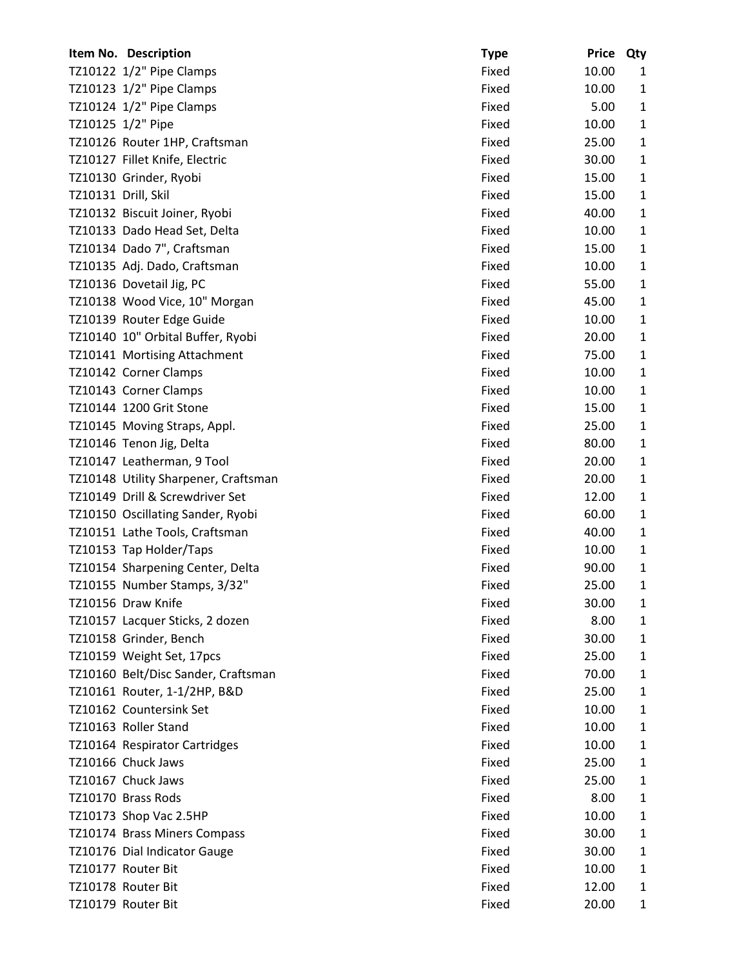|                     | Item No. Description                 | <b>Type</b> | <b>Price</b> | Qty          |
|---------------------|--------------------------------------|-------------|--------------|--------------|
|                     | TZ10122 1/2" Pipe Clamps             | Fixed       | 10.00        | 1            |
|                     | TZ10123 1/2" Pipe Clamps             | Fixed       | 10.00        | $\mathbf{1}$ |
|                     | TZ10124 1/2" Pipe Clamps             | Fixed       | 5.00         | $\mathbf{1}$ |
|                     | TZ10125 1/2" Pipe                    | Fixed       | 10.00        | $\mathbf{1}$ |
|                     | TZ10126 Router 1HP, Craftsman        | Fixed       | 25.00        | $\mathbf{1}$ |
|                     | TZ10127 Fillet Knife, Electric       | Fixed       | 30.00        | $\mathbf{1}$ |
|                     | TZ10130 Grinder, Ryobi               | Fixed       | 15.00        | $\mathbf{1}$ |
| TZ10131 Drill, Skil |                                      | Fixed       | 15.00        | $\mathbf{1}$ |
|                     | TZ10132 Biscuit Joiner, Ryobi        | Fixed       | 40.00        | $\mathbf{1}$ |
|                     | TZ10133 Dado Head Set, Delta         | Fixed       | 10.00        | $\mathbf{1}$ |
|                     | TZ10134 Dado 7", Craftsman           | Fixed       | 15.00        | $\mathbf{1}$ |
|                     | TZ10135 Adj. Dado, Craftsman         | Fixed       | 10.00        | $\mathbf{1}$ |
|                     | TZ10136 Dovetail Jig, PC             | Fixed       | 55.00        | $\mathbf{1}$ |
|                     | TZ10138 Wood Vice, 10" Morgan        | Fixed       | 45.00        | $\mathbf{1}$ |
|                     | TZ10139 Router Edge Guide            | Fixed       | 10.00        | $\mathbf{1}$ |
|                     | TZ10140 10" Orbital Buffer, Ryobi    | Fixed       | 20.00        | $\mathbf{1}$ |
|                     | TZ10141 Mortising Attachment         | Fixed       | 75.00        | $\mathbf{1}$ |
|                     | TZ10142 Corner Clamps                | Fixed       | 10.00        | $\mathbf{1}$ |
|                     | TZ10143 Corner Clamps                | Fixed       | 10.00        | $\mathbf{1}$ |
|                     | TZ10144 1200 Grit Stone              | Fixed       | 15.00        | $\mathbf{1}$ |
|                     | TZ10145 Moving Straps, Appl.         | Fixed       | 25.00        | $\mathbf{1}$ |
|                     | TZ10146 Tenon Jig, Delta             | Fixed       | 80.00        | $\mathbf{1}$ |
|                     | TZ10147 Leatherman, 9 Tool           | Fixed       | 20.00        | $\mathbf{1}$ |
|                     | TZ10148 Utility Sharpener, Craftsman | Fixed       | 20.00        | $\mathbf{1}$ |
|                     | TZ10149 Drill & Screwdriver Set      | Fixed       | 12.00        | $\mathbf{1}$ |
|                     | TZ10150 Oscillating Sander, Ryobi    | Fixed       | 60.00        | $\mathbf{1}$ |
|                     | TZ10151 Lathe Tools, Craftsman       | Fixed       | 40.00        | $\mathbf{1}$ |
|                     | TZ10153 Tap Holder/Taps              | Fixed       | 10.00        | $\mathbf{1}$ |
|                     | TZ10154 Sharpening Center, Delta     | Fixed       | 90.00        | $\mathbf{1}$ |
|                     | TZ10155 Number Stamps, 3/32"         | Fixed       | 25.00        | 1            |
|                     | TZ10156 Draw Knife                   | Fixed       | 30.00        | 1            |
|                     | TZ10157 Lacquer Sticks, 2 dozen      | Fixed       | 8.00         | $\mathbf{1}$ |
|                     | TZ10158 Grinder, Bench               | Fixed       | 30.00        | $\mathbf{1}$ |
|                     | TZ10159 Weight Set, 17pcs            | Fixed       | 25.00        | $\mathbf{1}$ |
|                     | TZ10160 Belt/Disc Sander, Craftsman  | Fixed       | 70.00        | $\mathbf{1}$ |
|                     | TZ10161 Router, 1-1/2HP, B&D         | Fixed       | 25.00        | 1            |
|                     | TZ10162 Countersink Set              | Fixed       | 10.00        | $\mathbf{1}$ |
|                     | TZ10163 Roller Stand                 | Fixed       | 10.00        | $\mathbf{1}$ |
|                     | TZ10164 Respirator Cartridges        | Fixed       | 10.00        | $\mathbf{1}$ |
|                     | TZ10166 Chuck Jaws                   | Fixed       | 25.00        | $\mathbf{1}$ |
|                     | TZ10167 Chuck Jaws                   | Fixed       | 25.00        | $\mathbf{1}$ |
|                     | TZ10170 Brass Rods                   | Fixed       | 8.00         | $\mathbf{1}$ |
|                     | TZ10173 Shop Vac 2.5HP               | Fixed       | 10.00        | $\mathbf{1}$ |
|                     | TZ10174 Brass Miners Compass         | Fixed       | 30.00        | $\mathbf{1}$ |
|                     | TZ10176 Dial Indicator Gauge         | Fixed       | 30.00        | 1            |
|                     | TZ10177 Router Bit                   | Fixed       | 10.00        | $\mathbf{1}$ |
|                     | TZ10178 Router Bit                   | Fixed       | 12.00        | 1            |
|                     | TZ10179 Router Bit                   | Fixed       | 20.00        | $\mathbf{1}$ |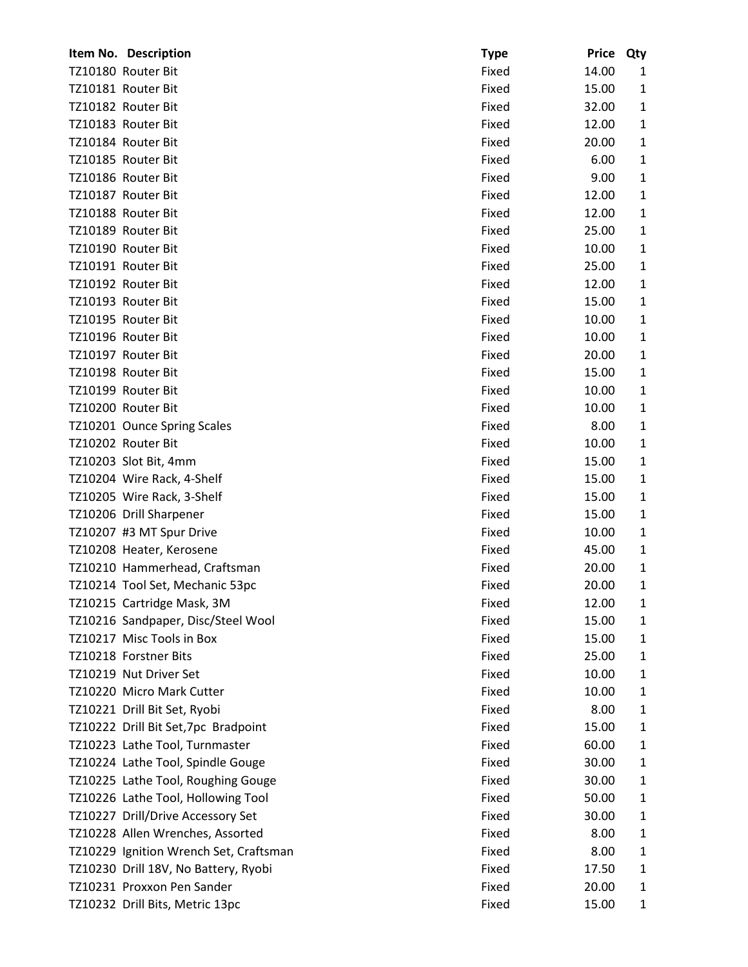| Item No. Description                   | <b>Type</b> | <b>Price</b> | Qty          |
|----------------------------------------|-------------|--------------|--------------|
| TZ10180 Router Bit                     | Fixed       | 14.00        | 1            |
| TZ10181 Router Bit                     | Fixed       | 15.00        | $\mathbf{1}$ |
| TZ10182 Router Bit                     | Fixed       | 32.00        | 1            |
| TZ10183 Router Bit                     | Fixed       | 12.00        | $\mathbf{1}$ |
| TZ10184 Router Bit                     | Fixed       | 20.00        | 1            |
| TZ10185 Router Bit                     | Fixed       | 6.00         | $\mathbf{1}$ |
| TZ10186 Router Bit                     | Fixed       | 9.00         | $\mathbf{1}$ |
| TZ10187 Router Bit                     | Fixed       | 12.00        | $\mathbf{1}$ |
| TZ10188 Router Bit                     | Fixed       | 12.00        | $\mathbf{1}$ |
| TZ10189 Router Bit                     | Fixed       | 25.00        | 1            |
| TZ10190 Router Bit                     | Fixed       | 10.00        | $\mathbf{1}$ |
| TZ10191 Router Bit                     | Fixed       | 25.00        | $\mathbf{1}$ |
| TZ10192 Router Bit                     | Fixed       | 12.00        | 1            |
| TZ10193 Router Bit                     | Fixed       | 15.00        | 1            |
| TZ10195 Router Bit                     | Fixed       | 10.00        | 1            |
| TZ10196 Router Bit                     | Fixed       | 10.00        | $\mathbf{1}$ |
| TZ10197 Router Bit                     | Fixed       | 20.00        | $\mathbf{1}$ |
| TZ10198 Router Bit                     | Fixed       | 15.00        | $\mathbf{1}$ |
| TZ10199 Router Bit                     | Fixed       | 10.00        | 1            |
| TZ10200 Router Bit                     | Fixed       | 10.00        | $\mathbf{1}$ |
| TZ10201 Ounce Spring Scales            | Fixed       | 8.00         | $\mathbf{1}$ |
| TZ10202 Router Bit                     | Fixed       | 10.00        | $\mathbf{1}$ |
| TZ10203 Slot Bit, 4mm                  | Fixed       | 15.00        | $\mathbf{1}$ |
| TZ10204 Wire Rack, 4-Shelf             | Fixed       | 15.00        | 1            |
| TZ10205 Wire Rack, 3-Shelf             | Fixed       | 15.00        | 1            |
| TZ10206 Drill Sharpener                | Fixed       | 15.00        | $\mathbf{1}$ |
| TZ10207 #3 MT Spur Drive               | Fixed       | 10.00        | $\mathbf{1}$ |
| TZ10208 Heater, Kerosene               | Fixed       | 45.00        | $\mathbf{1}$ |
| TZ10210 Hammerhead, Craftsman          | Fixed       | 20.00        | $\mathbf{1}$ |
| TZ10214 Tool Set, Mechanic 53pc        | Fixed       | 20.00        | $\mathbf{1}$ |
| TZ10215 Cartridge Mask, 3M             | Fixed       | 12.00        | 1            |
| TZ10216 Sandpaper, Disc/Steel Wool     | Fixed       | 15.00        | 1            |
| TZ10217 Misc Tools in Box              | Fixed       | 15.00        | $\mathbf{1}$ |
| TZ10218 Forstner Bits                  | Fixed       | 25.00        | 1            |
| TZ10219 Nut Driver Set                 | Fixed       | 10.00        | $\mathbf{1}$ |
| TZ10220 Micro Mark Cutter              | Fixed       | 10.00        | 1            |
| TZ10221 Drill Bit Set, Ryobi           | Fixed       | 8.00         | $\mathbf{1}$ |
| TZ10222 Drill Bit Set, 7pc Bradpoint   | Fixed       | 15.00        | 1            |
| TZ10223 Lathe Tool, Turnmaster         | Fixed       | 60.00        | 1            |
| TZ10224 Lathe Tool, Spindle Gouge      | Fixed       | 30.00        | $\mathbf{1}$ |
| TZ10225 Lathe Tool, Roughing Gouge     | Fixed       | 30.00        | 1            |
| TZ10226 Lathe Tool, Hollowing Tool     | Fixed       | 50.00        | $\mathbf{1}$ |
| TZ10227 Drill/Drive Accessory Set      | Fixed       | 30.00        | 1            |
| TZ10228 Allen Wrenches, Assorted       | Fixed       | 8.00         | 1            |
| TZ10229 Ignition Wrench Set, Craftsman | Fixed       | 8.00         | 1            |
| TZ10230 Drill 18V, No Battery, Ryobi   | Fixed       | 17.50        | 1            |
| TZ10231 Proxxon Pen Sander             | Fixed       | 20.00        | $\mathbf{1}$ |
| TZ10232 Drill Bits, Metric 13pc        | Fixed       | 15.00        | $\mathbf{1}$ |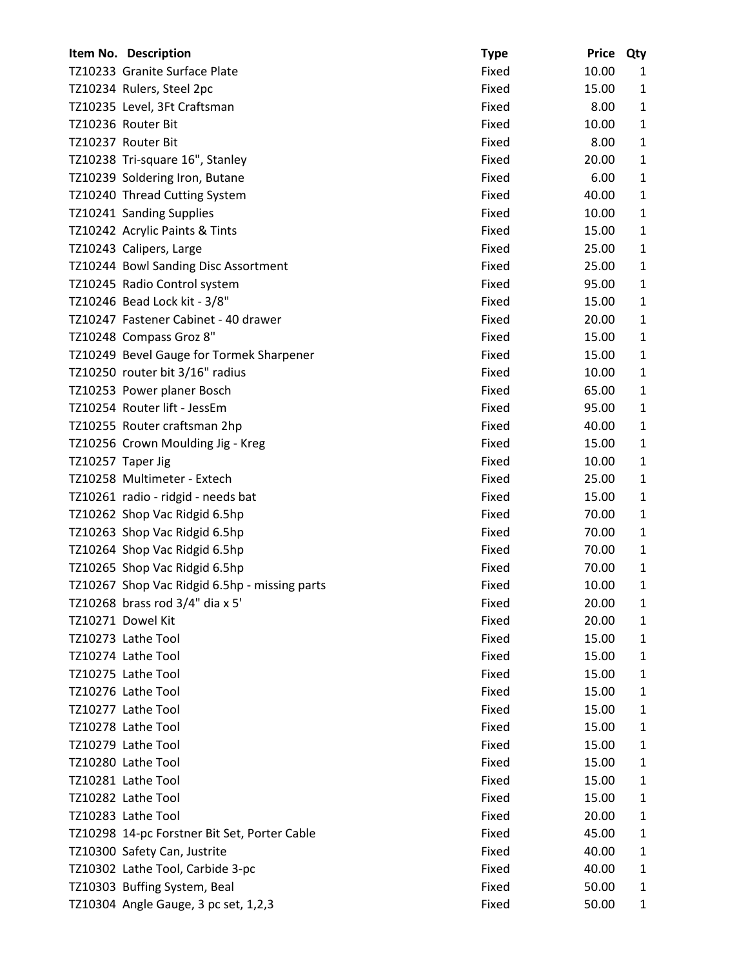|                   | Item No. Description                          | <b>Type</b> | <b>Price</b> | Qty          |
|-------------------|-----------------------------------------------|-------------|--------------|--------------|
|                   | TZ10233 Granite Surface Plate                 | Fixed       | 10.00        | 1            |
|                   | TZ10234 Rulers, Steel 2pc                     | Fixed       | 15.00        | $\mathbf{1}$ |
|                   | TZ10235 Level, 3Ft Craftsman                  | Fixed       | 8.00         | $\mathbf{1}$ |
|                   | TZ10236 Router Bit                            | Fixed       | 10.00        | $\mathbf{1}$ |
|                   | TZ10237 Router Bit                            | Fixed       | 8.00         | $\mathbf{1}$ |
|                   | TZ10238 Tri-square 16", Stanley               | Fixed       | 20.00        | $\mathbf{1}$ |
|                   | TZ10239 Soldering Iron, Butane                | Fixed       | 6.00         | $\mathbf{1}$ |
|                   | TZ10240 Thread Cutting System                 | Fixed       | 40.00        | $\mathbf{1}$ |
|                   | TZ10241 Sanding Supplies                      | Fixed       | 10.00        | 1            |
|                   | TZ10242 Acrylic Paints & Tints                | Fixed       | 15.00        | $\mathbf{1}$ |
|                   | TZ10243 Calipers, Large                       | Fixed       | 25.00        | $\mathbf{1}$ |
|                   | TZ10244 Bowl Sanding Disc Assortment          | Fixed       | 25.00        | $\mathbf{1}$ |
|                   | TZ10245 Radio Control system                  | Fixed       | 95.00        | $\mathbf{1}$ |
|                   | TZ10246 Bead Lock kit - 3/8"                  | Fixed       | 15.00        | $\mathbf{1}$ |
|                   | TZ10247 Fastener Cabinet - 40 drawer          | Fixed       | 20.00        | $\mathbf{1}$ |
|                   | TZ10248 Compass Groz 8"                       | Fixed       | 15.00        | $\mathbf{1}$ |
|                   | TZ10249 Bevel Gauge for Tormek Sharpener      | Fixed       | 15.00        | $\mathbf{1}$ |
|                   | TZ10250 router bit 3/16" radius               | Fixed       | 10.00        | $\mathbf{1}$ |
|                   | TZ10253 Power planer Bosch                    | Fixed       | 65.00        | $\mathbf{1}$ |
|                   | TZ10254 Router lift - JessEm                  | Fixed       | 95.00        | $\mathbf{1}$ |
|                   | TZ10255 Router craftsman 2hp                  | Fixed       | 40.00        | $\mathbf{1}$ |
|                   | TZ10256 Crown Moulding Jig - Kreg             | Fixed       | 15.00        | $\mathbf{1}$ |
| TZ10257 Taper Jig |                                               | Fixed       | 10.00        | $\mathbf{1}$ |
|                   | TZ10258 Multimeter - Extech                   | Fixed       | 25.00        | $\mathbf{1}$ |
|                   | TZ10261 radio - ridgid - needs bat            | Fixed       | 15.00        | $\mathbf{1}$ |
|                   | TZ10262 Shop Vac Ridgid 6.5hp                 | Fixed       | 70.00        | $\mathbf{1}$ |
|                   | TZ10263 Shop Vac Ridgid 6.5hp                 | Fixed       | 70.00        | $\mathbf{1}$ |
|                   | TZ10264 Shop Vac Ridgid 6.5hp                 | Fixed       | 70.00        | 1            |
|                   | TZ10265 Shop Vac Ridgid 6.5hp                 | Fixed       | 70.00        | $\mathbf{1}$ |
|                   | TZ10267 Shop Vac Ridgid 6.5hp - missing parts | Fixed       | 10.00        | 1            |
|                   | TZ10268 brass rod 3/4" dia x 5'               | Fixed       | 20.00        | 1            |
|                   | TZ10271 Dowel Kit                             | Fixed       | 20.00        | $\mathbf{1}$ |
|                   | TZ10273 Lathe Tool                            | Fixed       | 15.00        | 1            |
|                   | TZ10274 Lathe Tool                            | Fixed       | 15.00        | $\mathbf{1}$ |
|                   | TZ10275 Lathe Tool                            | Fixed       | 15.00        | 1            |
|                   | TZ10276 Lathe Tool                            | Fixed       | 15.00        | $\mathbf{1}$ |
|                   | TZ10277 Lathe Tool                            | Fixed       | 15.00        | $\mathbf{1}$ |
|                   | TZ10278 Lathe Tool                            | Fixed       | 15.00        | $\mathbf{1}$ |
|                   | TZ10279 Lathe Tool                            | Fixed       | 15.00        | $\mathbf{1}$ |
|                   | TZ10280 Lathe Tool                            | Fixed       | 15.00        | 1            |
|                   | TZ10281 Lathe Tool                            | Fixed       | 15.00        | $\mathbf{1}$ |
|                   | TZ10282 Lathe Tool                            | Fixed       | 15.00        | $\mathbf{1}$ |
|                   | TZ10283 Lathe Tool                            | Fixed       | 20.00        | $\mathbf{1}$ |
|                   | TZ10298 14-pc Forstner Bit Set, Porter Cable  | Fixed       | 45.00        | $\mathbf{1}$ |
|                   | TZ10300 Safety Can, Justrite                  | Fixed       | 40.00        | 1            |
|                   | TZ10302 Lathe Tool, Carbide 3-pc              | Fixed       | 40.00        | $\mathbf{1}$ |
|                   | TZ10303 Buffing System, Beal                  | Fixed       | 50.00        | 1            |
|                   | TZ10304 Angle Gauge, 3 pc set, 1,2,3          | Fixed       | 50.00        | 1            |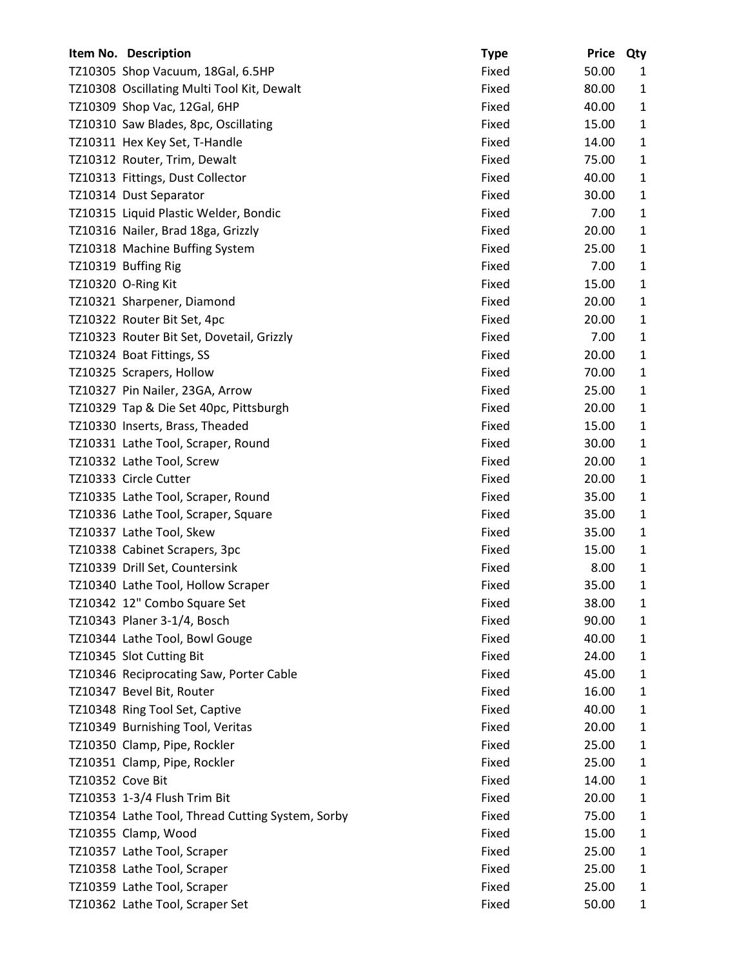|                  | Item No. Description                             | <b>Type</b> | <b>Price</b> | Qty          |
|------------------|--------------------------------------------------|-------------|--------------|--------------|
|                  | TZ10305 Shop Vacuum, 18Gal, 6.5HP                | Fixed       | 50.00        | 1            |
|                  | TZ10308 Oscillating Multi Tool Kit, Dewalt       | Fixed       | 80.00        | $\mathbf{1}$ |
|                  | TZ10309 Shop Vac, 12Gal, 6HP                     | Fixed       | 40.00        | $\mathbf{1}$ |
|                  | TZ10310 Saw Blades, 8pc, Oscillating             | Fixed       | 15.00        | $\mathbf{1}$ |
|                  | TZ10311 Hex Key Set, T-Handle                    | Fixed       | 14.00        | $\mathbf{1}$ |
|                  | TZ10312 Router, Trim, Dewalt                     | Fixed       | 75.00        | $\mathbf{1}$ |
|                  | TZ10313 Fittings, Dust Collector                 | Fixed       | 40.00        | $\mathbf{1}$ |
|                  | TZ10314 Dust Separator                           | Fixed       | 30.00        | $\mathbf{1}$ |
|                  | TZ10315 Liquid Plastic Welder, Bondic            | Fixed       | 7.00         | $\mathbf{1}$ |
|                  | TZ10316 Nailer, Brad 18ga, Grizzly               | Fixed       | 20.00        | $\mathbf{1}$ |
|                  | TZ10318 Machine Buffing System                   | Fixed       | 25.00        | $\mathbf{1}$ |
|                  | TZ10319 Buffing Rig                              | Fixed       | 7.00         | $\mathbf{1}$ |
|                  | TZ10320 O-Ring Kit                               | Fixed       | 15.00        | $\mathbf{1}$ |
|                  | TZ10321 Sharpener, Diamond                       | Fixed       | 20.00        | $\mathbf{1}$ |
|                  | TZ10322 Router Bit Set, 4pc                      | Fixed       | 20.00        | $\mathbf{1}$ |
|                  | TZ10323 Router Bit Set, Dovetail, Grizzly        | Fixed       | 7.00         | $\mathbf{1}$ |
|                  | TZ10324 Boat Fittings, SS                        | Fixed       | 20.00        | $\mathbf{1}$ |
|                  | TZ10325 Scrapers, Hollow                         | Fixed       | 70.00        | $\mathbf{1}$ |
|                  | TZ10327 Pin Nailer, 23GA, Arrow                  | Fixed       | 25.00        | $\mathbf{1}$ |
|                  | TZ10329 Tap & Die Set 40pc, Pittsburgh           | Fixed       | 20.00        | $\mathbf{1}$ |
|                  | TZ10330 Inserts, Brass, Theaded                  | Fixed       | 15.00        | $\mathbf{1}$ |
|                  | TZ10331 Lathe Tool, Scraper, Round               | Fixed       | 30.00        | $\mathbf{1}$ |
|                  | TZ10332 Lathe Tool, Screw                        | Fixed       | 20.00        | $\mathbf{1}$ |
|                  | TZ10333 Circle Cutter                            | Fixed       | 20.00        | $\mathbf{1}$ |
|                  | TZ10335 Lathe Tool, Scraper, Round               | Fixed       | 35.00        | $\mathbf{1}$ |
|                  | TZ10336 Lathe Tool, Scraper, Square              | Fixed       | 35.00        | $\mathbf{1}$ |
|                  | TZ10337 Lathe Tool, Skew                         | Fixed       | 35.00        | $\mathbf{1}$ |
|                  | TZ10338 Cabinet Scrapers, 3pc                    | Fixed       | 15.00        | 1            |
|                  | TZ10339 Drill Set, Countersink                   | Fixed       | 8.00         | 1            |
|                  | TZ10340 Lathe Tool, Hollow Scraper               | Fixed       | 35.00        | 1            |
|                  | TZ10342 12" Combo Square Set                     | Fixed       | 38.00        | 1            |
|                  | TZ10343 Planer 3-1/4, Bosch                      | Fixed       | 90.00        | $\mathbf{1}$ |
|                  | TZ10344 Lathe Tool, Bowl Gouge                   | Fixed       | 40.00        | $\mathbf{1}$ |
|                  | TZ10345 Slot Cutting Bit                         | Fixed       | 24.00        | $\mathbf{1}$ |
|                  | TZ10346 Reciprocating Saw, Porter Cable          | Fixed       | 45.00        | 1            |
|                  | TZ10347 Bevel Bit, Router                        | Fixed       | 16.00        | 1            |
|                  | TZ10348 Ring Tool Set, Captive                   | Fixed       | 40.00        | $\mathbf{1}$ |
|                  | TZ10349 Burnishing Tool, Veritas                 | Fixed       | 20.00        | $\mathbf{1}$ |
|                  | TZ10350 Clamp, Pipe, Rockler                     | Fixed       | 25.00        | $\mathbf{1}$ |
|                  | TZ10351 Clamp, Pipe, Rockler                     | Fixed       | 25.00        | 1            |
| TZ10352 Cove Bit |                                                  | Fixed       | 14.00        | $\mathbf{1}$ |
|                  | TZ10353 1-3/4 Flush Trim Bit                     | Fixed       | 20.00        | $\mathbf{1}$ |
|                  | TZ10354 Lathe Tool, Thread Cutting System, Sorby | Fixed       | 75.00        | $\mathbf{1}$ |
|                  | TZ10355 Clamp, Wood                              | Fixed       | 15.00        | $\mathbf{1}$ |
|                  | TZ10357 Lathe Tool, Scraper                      | Fixed       | 25.00        | 1            |
|                  | TZ10358 Lathe Tool, Scraper                      | Fixed       | 25.00        | $\mathbf{1}$ |
|                  | TZ10359 Lathe Tool, Scraper                      | Fixed       | 25.00        | 1            |
|                  | TZ10362 Lathe Tool, Scraper Set                  | Fixed       | 50.00        | $\mathbf{1}$ |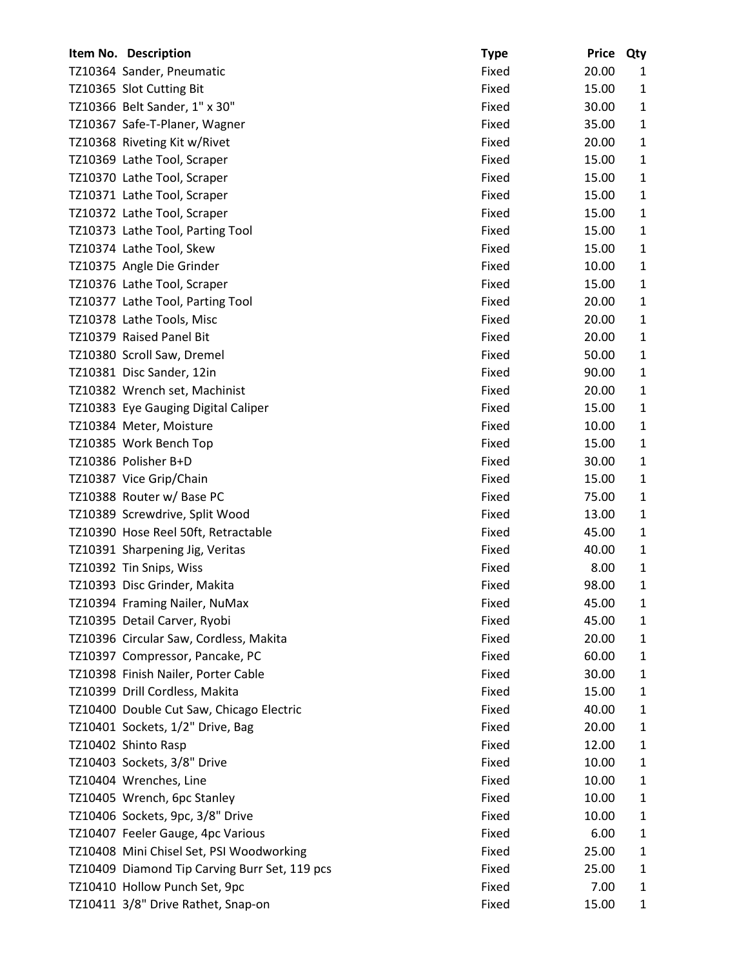| Item No. Description                          | <b>Type</b> | <b>Price</b> | Qty          |
|-----------------------------------------------|-------------|--------------|--------------|
| TZ10364 Sander, Pneumatic                     | Fixed       | 20.00        | 1            |
| TZ10365 Slot Cutting Bit                      | Fixed       | 15.00        | $\mathbf{1}$ |
| TZ10366 Belt Sander, 1" x 30"                 | Fixed       | 30.00        | 1            |
| TZ10367 Safe-T-Planer, Wagner                 | Fixed       | 35.00        | 1            |
| TZ10368 Riveting Kit w/Rivet                  | Fixed       | 20.00        | $\mathbf{1}$ |
| TZ10369 Lathe Tool, Scraper                   | Fixed       | 15.00        | $\mathbf{1}$ |
| TZ10370 Lathe Tool, Scraper                   | Fixed       | 15.00        | $\mathbf{1}$ |
| TZ10371 Lathe Tool, Scraper                   | Fixed       | 15.00        | 1            |
| TZ10372 Lathe Tool, Scraper                   | Fixed       | 15.00        | 1            |
| TZ10373 Lathe Tool, Parting Tool              | Fixed       | 15.00        | $\mathbf{1}$ |
| TZ10374 Lathe Tool, Skew                      | Fixed       | 15.00        | $\mathbf{1}$ |
| TZ10375 Angle Die Grinder                     | Fixed       | 10.00        | $\mathbf{1}$ |
| TZ10376 Lathe Tool, Scraper                   | Fixed       | 15.00        | $\mathbf{1}$ |
| TZ10377 Lathe Tool, Parting Tool              | Fixed       | 20.00        | 1            |
| TZ10378 Lathe Tools, Misc                     | Fixed       | 20.00        | $\mathbf{1}$ |
| TZ10379 Raised Panel Bit                      | Fixed       | 20.00        | $\mathbf{1}$ |
| TZ10380 Scroll Saw, Dremel                    | Fixed       | 50.00        | $\mathbf{1}$ |
| TZ10381 Disc Sander, 12in                     | Fixed       | 90.00        | $\mathbf{1}$ |
| TZ10382 Wrench set, Machinist                 | Fixed       | 20.00        | 1            |
| TZ10383 Eye Gauging Digital Caliper           | Fixed       | 15.00        | $\mathbf{1}$ |
| TZ10384 Meter, Moisture                       | Fixed       | 10.00        | $\mathbf{1}$ |
| TZ10385 Work Bench Top                        | Fixed       | 15.00        | $\mathbf{1}$ |
| TZ10386 Polisher B+D                          | Fixed       | 30.00        | $\mathbf{1}$ |
| TZ10387 Vice Grip/Chain                       | Fixed       | 15.00        | 1            |
| TZ10388 Router w/ Base PC                     | Fixed       | 75.00        | $\mathbf{1}$ |
| TZ10389 Screwdrive, Split Wood                | Fixed       | 13.00        | $\mathbf{1}$ |
| TZ10390 Hose Reel 50ft, Retractable           | Fixed       | 45.00        | $\mathbf{1}$ |
| TZ10391 Sharpening Jig, Veritas               | Fixed       | 40.00        | 1            |
| TZ10392 Tin Snips, Wiss                       | Fixed       | 8.00         | $\mathbf{1}$ |
| TZ10393 Disc Grinder, Makita                  | Fixed       | 98.00        | 1            |
| TZ10394 Framing Nailer, NuMax                 | Fixed       | 45.00        | 1            |
| TZ10395 Detail Carver, Ryobi                  | Fixed       | 45.00        | $\mathbf{1}$ |
| TZ10396 Circular Saw, Cordless, Makita        | Fixed       | 20.00        | 1            |
| TZ10397 Compressor, Pancake, PC               | Fixed       | 60.00        | $\mathbf{1}$ |
| TZ10398 Finish Nailer, Porter Cable           | Fixed       | 30.00        | 1            |
| TZ10399 Drill Cordless, Makita                | Fixed       | 15.00        | 1            |
| TZ10400 Double Cut Saw, Chicago Electric      | Fixed       | 40.00        | $\mathbf{1}$ |
| TZ10401 Sockets, 1/2" Drive, Bag              | Fixed       | 20.00        | $\mathbf{1}$ |
| TZ10402 Shinto Rasp                           | Fixed       | 12.00        | $\mathbf{1}$ |
| TZ10403 Sockets, 3/8" Drive                   | Fixed       | 10.00        | 1            |
| TZ10404 Wrenches, Line                        | Fixed       | 10.00        | $\mathbf{1}$ |
| TZ10405 Wrench, 6pc Stanley                   | Fixed       | 10.00        | $\mathbf{1}$ |
| TZ10406 Sockets, 9pc, 3/8" Drive              | Fixed       | 10.00        | $\mathbf{1}$ |
| TZ10407 Feeler Gauge, 4pc Various             | Fixed       | 6.00         | $\mathbf{1}$ |
| TZ10408 Mini Chisel Set, PSI Woodworking      | Fixed       | 25.00        | 1            |
| TZ10409 Diamond Tip Carving Burr Set, 119 pcs | Fixed       | 25.00        | 1            |
| TZ10410 Hollow Punch Set, 9pc                 | Fixed       | 7.00         | 1            |
| TZ10411 3/8" Drive Rathet, Snap-on            | Fixed       | 15.00        | $\mathbf{1}$ |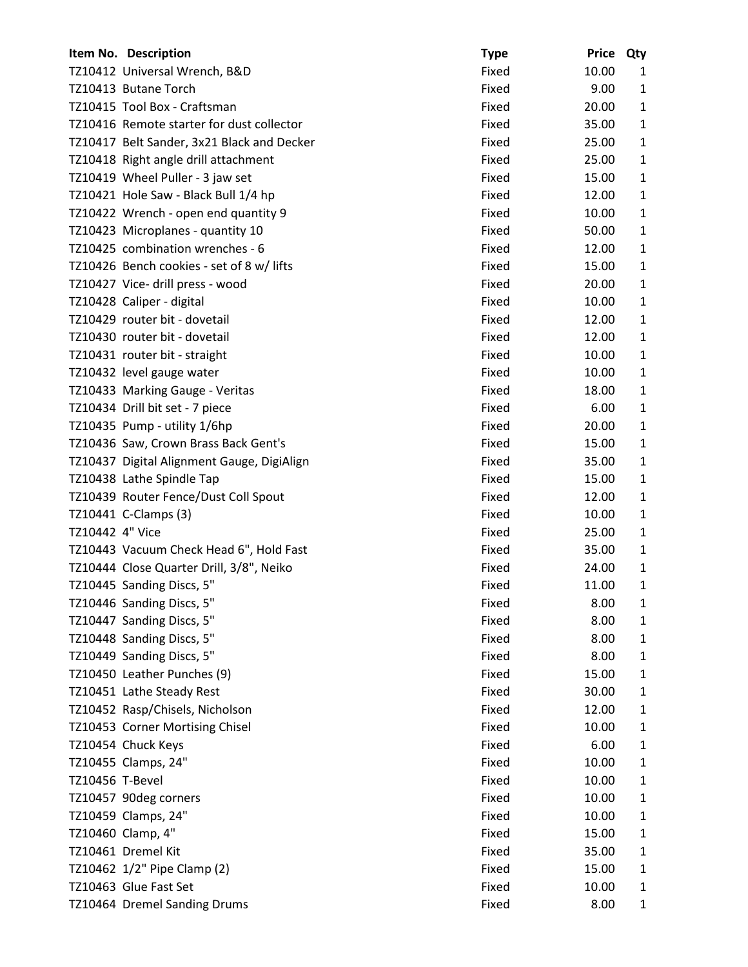|                 | Item No. Description                       | <b>Type</b> | Price Qty |              |
|-----------------|--------------------------------------------|-------------|-----------|--------------|
|                 | TZ10412 Universal Wrench, B&D              | Fixed       | 10.00     | 1            |
|                 | TZ10413 Butane Torch                       | Fixed       | 9.00      | $\mathbf{1}$ |
|                 | TZ10415 Tool Box - Craftsman               | Fixed       | 20.00     | $\mathbf{1}$ |
|                 | TZ10416 Remote starter for dust collector  | Fixed       | 35.00     | 1            |
|                 | TZ10417 Belt Sander, 3x21 Black and Decker | Fixed       | 25.00     | $\mathbf{1}$ |
|                 | TZ10418 Right angle drill attachment       | Fixed       | 25.00     | $\mathbf{1}$ |
|                 | TZ10419 Wheel Puller - 3 jaw set           | Fixed       | 15.00     | $\mathbf{1}$ |
|                 | TZ10421 Hole Saw - Black Bull 1/4 hp       | Fixed       | 12.00     | $\mathbf{1}$ |
|                 | TZ10422 Wrench - open end quantity 9       | Fixed       | 10.00     | $\mathbf{1}$ |
|                 | TZ10423 Microplanes - quantity 10          | Fixed       | 50.00     | $\mathbf{1}$ |
|                 | TZ10425 combination wrenches - 6           | Fixed       | 12.00     | $\mathbf{1}$ |
|                 | TZ10426 Bench cookies - set of 8 w/ lifts  | Fixed       | 15.00     | $\mathbf{1}$ |
|                 | TZ10427 Vice- drill press - wood           | Fixed       | 20.00     | $\mathbf{1}$ |
|                 | TZ10428 Caliper - digital                  | Fixed       | 10.00     | $\mathbf{1}$ |
|                 | TZ10429 router bit - dovetail              | Fixed       | 12.00     | $\mathbf{1}$ |
|                 | TZ10430 router bit - dovetail              | Fixed       | 12.00     | $\mathbf{1}$ |
|                 | TZ10431 router bit - straight              | Fixed       | 10.00     | $\mathbf{1}$ |
|                 | TZ10432 level gauge water                  | Fixed       | 10.00     | $\mathbf{1}$ |
|                 | TZ10433 Marking Gauge - Veritas            | Fixed       | 18.00     | $\mathbf{1}$ |
|                 | TZ10434 Drill bit set - 7 piece            | Fixed       | 6.00      | $\mathbf{1}$ |
|                 | TZ10435 Pump - utility 1/6hp               | Fixed       | 20.00     | $\mathbf{1}$ |
|                 | TZ10436 Saw, Crown Brass Back Gent's       | Fixed       | 15.00     | $\mathbf{1}$ |
|                 | TZ10437 Digital Alignment Gauge, DigiAlign | Fixed       | 35.00     | $\mathbf{1}$ |
|                 | TZ10438 Lathe Spindle Tap                  | Fixed       | 15.00     | $\mathbf{1}$ |
|                 | TZ10439 Router Fence/Dust Coll Spout       | Fixed       | 12.00     | $\mathbf{1}$ |
|                 | TZ10441 C-Clamps (3)                       | Fixed       | 10.00     | $\mathbf{1}$ |
| TZ10442 4" Vice |                                            | Fixed       | 25.00     | $\mathbf{1}$ |
|                 | TZ10443 Vacuum Check Head 6", Hold Fast    | Fixed       | 35.00     | $\mathbf{1}$ |
|                 | TZ10444 Close Quarter Drill, 3/8", Neiko   | Fixed       | 24.00     | 1            |
|                 | TZ10445 Sanding Discs, 5"                  | Fixed       | 11.00     | 1            |
|                 | TZ10446 Sanding Discs, 5"                  | Fixed       | 8.00      | $\mathbf{1}$ |
|                 | TZ10447 Sanding Discs, 5"                  | Fixed       | 8.00      | $\mathbf{1}$ |
|                 | TZ10448 Sanding Discs, 5"                  | Fixed       | 8.00      | $\mathbf{1}$ |
|                 | TZ10449 Sanding Discs, 5"                  | Fixed       | 8.00      | $\mathbf{1}$ |
|                 | TZ10450 Leather Punches (9)                | Fixed       | 15.00     | 1            |
|                 | TZ10451 Lathe Steady Rest                  | Fixed       | 30.00     | $\mathbf{1}$ |
|                 | TZ10452 Rasp/Chisels, Nicholson            | Fixed       | 12.00     | $\mathbf{1}$ |
|                 | TZ10453 Corner Mortising Chisel            | Fixed       | 10.00     | $\mathbf{1}$ |
|                 | TZ10454 Chuck Keys                         | Fixed       | 6.00      | $\mathbf{1}$ |
|                 | TZ10455 Clamps, 24"                        | Fixed       | 10.00     | 1            |
| TZ10456 T-Bevel |                                            | Fixed       | 10.00     | $\mathbf{1}$ |
|                 | TZ10457 90deg corners                      | Fixed       | 10.00     | $\mathbf{1}$ |
|                 | TZ10459 Clamps, 24"                        | Fixed       | 10.00     | $\mathbf{1}$ |
|                 | TZ10460 Clamp, 4"                          | Fixed       | 15.00     | 1            |
|                 | TZ10461 Dremel Kit                         | Fixed       | 35.00     | $\mathbf{1}$ |
|                 | TZ10462 1/2" Pipe Clamp (2)                | Fixed       | 15.00     | $\mathbf{1}$ |
|                 | TZ10463 Glue Fast Set                      | Fixed       | 10.00     | 1            |
|                 | TZ10464 Dremel Sanding Drums               | Fixed       | 8.00      | $\mathbf{1}$ |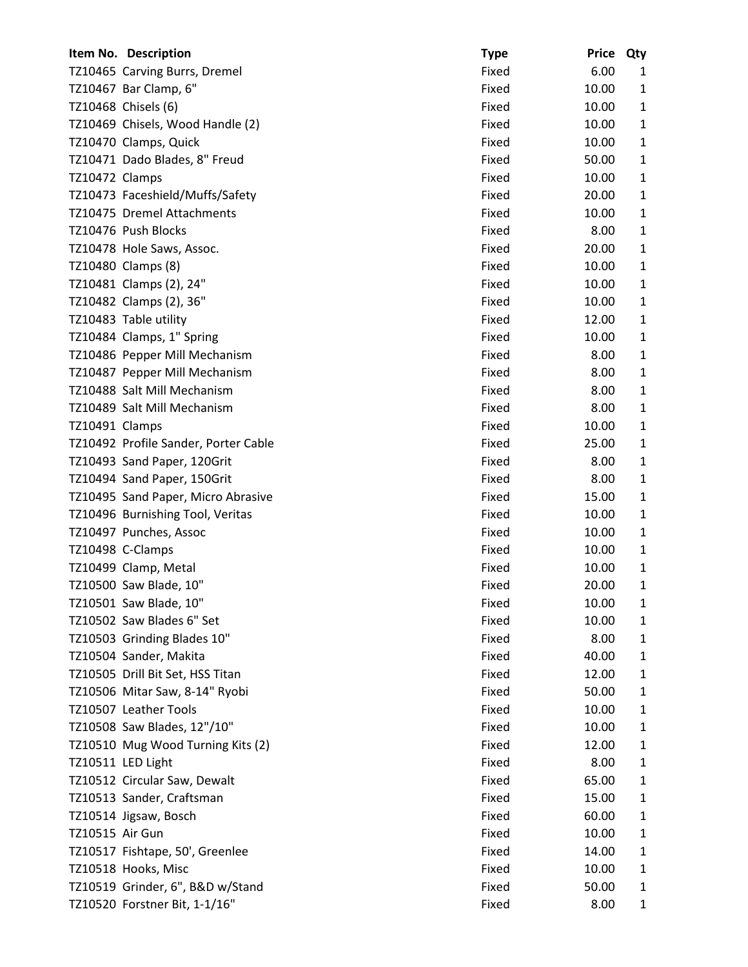|                 | Item No. Description                 | <b>Type</b> | Price Qty |              |
|-----------------|--------------------------------------|-------------|-----------|--------------|
|                 | TZ10465 Carving Burrs, Dremel        | Fixed       | 6.00      | 1            |
|                 | TZ10467 Bar Clamp, 6"                | Fixed       | 10.00     | $\mathbf{1}$ |
|                 | TZ10468 Chisels (6)                  | Fixed       | 10.00     | $\mathbf{1}$ |
|                 | TZ10469 Chisels, Wood Handle (2)     | Fixed       | 10.00     | $\mathbf{1}$ |
|                 | TZ10470 Clamps, Quick                | Fixed       | 10.00     | 1            |
|                 | TZ10471 Dado Blades, 8" Freud        | Fixed       | 50.00     | $\mathbf{1}$ |
| TZ10472 Clamps  |                                      | Fixed       | 10.00     | $\mathbf{1}$ |
|                 | TZ10473 Faceshield/Muffs/Safety      | Fixed       | 20.00     | 1            |
|                 | TZ10475 Dremel Attachments           | Fixed       | 10.00     | 1            |
|                 | TZ10476 Push Blocks                  | Fixed       | 8.00      | $\mathbf{1}$ |
|                 | TZ10478 Hole Saws, Assoc.            | Fixed       | 20.00     | $\mathbf{1}$ |
|                 | TZ10480 Clamps (8)                   | Fixed       | 10.00     | $\mathbf{1}$ |
|                 | TZ10481 Clamps (2), 24"              | Fixed       | 10.00     | $\mathbf{1}$ |
|                 | TZ10482 Clamps (2), 36"              | Fixed       | 10.00     | 1            |
|                 | TZ10483 Table utility                | Fixed       | 12.00     | $\mathbf{1}$ |
|                 | TZ10484 Clamps, 1" Spring            | Fixed       | 10.00     | $\mathbf{1}$ |
|                 | TZ10486 Pepper Mill Mechanism        | Fixed       | 8.00      | $\mathbf{1}$ |
|                 | TZ10487 Pepper Mill Mechanism        | Fixed       | 8.00      | $\mathbf{1}$ |
|                 | TZ10488 Salt Mill Mechanism          | Fixed       | 8.00      | 1            |
|                 | TZ10489 Salt Mill Mechanism          | Fixed       | 8.00      | $\mathbf{1}$ |
| TZ10491 Clamps  |                                      | Fixed       | 10.00     | $\mathbf{1}$ |
|                 | TZ10492 Profile Sander, Porter Cable | Fixed       | 25.00     | $\mathbf{1}$ |
|                 | TZ10493 Sand Paper, 120Grit          | Fixed       | 8.00      | $\mathbf{1}$ |
|                 | TZ10494 Sand Paper, 150Grit          | Fixed       | 8.00      | 1            |
|                 | TZ10495 Sand Paper, Micro Abrasive   | Fixed       | 15.00     | $\mathbf{1}$ |
|                 | TZ10496 Burnishing Tool, Veritas     | Fixed       | 10.00     | $\mathbf{1}$ |
|                 | TZ10497 Punches, Assoc               | Fixed       | 10.00     | $\mathbf{1}$ |
|                 | TZ10498 C-Clamps                     | Fixed       | 10.00     | 1            |
|                 | TZ10499 Clamp, Metal                 | Fixed       | 10.00     | 1            |
|                 | TZ10500 Saw Blade, 10"               | Fixed       | 20.00     | 1            |
|                 | TZ10501 Saw Blade, 10"               | Fixed       | 10.00     | 1            |
|                 | TZ10502 Saw Blades 6" Set            | Fixed       | 10.00     | $\mathbf{1}$ |
|                 | TZ10503 Grinding Blades 10"          | Fixed       | 8.00      | 1            |
|                 | TZ10504 Sander, Makita               | Fixed       | 40.00     | $\mathbf{1}$ |
|                 | TZ10505 Drill Bit Set, HSS Titan     | Fixed       | 12.00     | $\mathbf{1}$ |
|                 | TZ10506 Mitar Saw, 8-14" Ryobi       | Fixed       | 50.00     | 1            |
|                 | TZ10507 Leather Tools                | Fixed       | 10.00     | $\mathbf{1}$ |
|                 | TZ10508 Saw Blades, 12"/10"          | Fixed       | 10.00     | $\mathbf{1}$ |
|                 | TZ10510 Mug Wood Turning Kits (2)    | Fixed       | 12.00     | $\mathbf{1}$ |
|                 | TZ10511 LED Light                    | Fixed       | 8.00      | 1            |
|                 | TZ10512 Circular Saw, Dewalt         | Fixed       | 65.00     | $\mathbf{1}$ |
|                 | TZ10513 Sander, Craftsman            | Fixed       | 15.00     | $\mathbf{1}$ |
|                 | TZ10514 Jigsaw, Bosch                | Fixed       | 60.00     | $\mathbf{1}$ |
| TZ10515 Air Gun |                                      | Fixed       | 10.00     | $\mathbf{1}$ |
|                 | TZ10517 Fishtape, 50', Greenlee      | Fixed       | 14.00     | 1            |
|                 | TZ10518 Hooks, Misc                  | Fixed       | 10.00     | $\mathbf{1}$ |
|                 | TZ10519 Grinder, 6", B&D w/Stand     | Fixed       | 50.00     | $\mathbf{1}$ |
|                 | TZ10520 Forstner Bit, 1-1/16"        | Fixed       | 8.00      | $\mathbf{1}$ |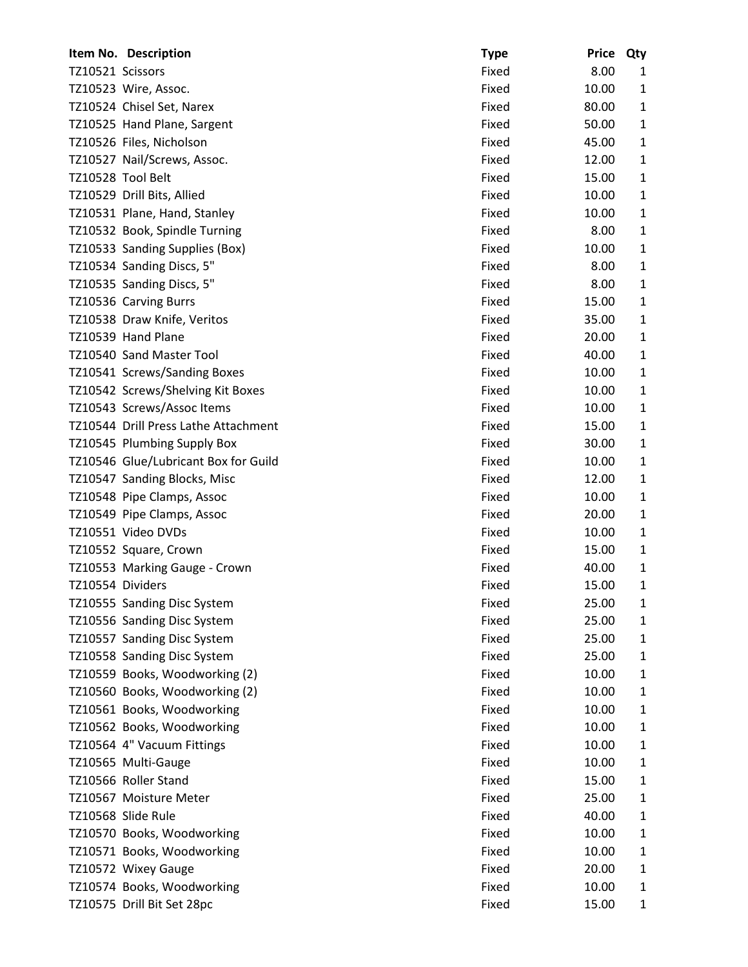|                  | Item No. Description                 | <b>Type</b> | <b>Price</b> | Qty          |
|------------------|--------------------------------------|-------------|--------------|--------------|
| TZ10521 Scissors |                                      | Fixed       | 8.00         | 1            |
|                  | TZ10523 Wire, Assoc.                 | Fixed       | 10.00        | $\mathbf{1}$ |
|                  | TZ10524 Chisel Set, Narex            | Fixed       | 80.00        | 1            |
|                  | TZ10525 Hand Plane, Sargent          | Fixed       | 50.00        | $\mathbf{1}$ |
|                  | TZ10526 Files, Nicholson             | Fixed       | 45.00        | 1            |
|                  | TZ10527 Nail/Screws, Assoc.          | Fixed       | 12.00        | 1            |
|                  | TZ10528 Tool Belt                    | Fixed       | 15.00        | $\mathbf{1}$ |
|                  | TZ10529 Drill Bits, Allied           | Fixed       | 10.00        | $\mathbf{1}$ |
|                  | TZ10531 Plane, Hand, Stanley         | Fixed       | 10.00        | $\mathbf{1}$ |
|                  | TZ10532 Book, Spindle Turning        | Fixed       | 8.00         | 1            |
|                  | TZ10533 Sanding Supplies (Box)       | Fixed       | 10.00        | $\mathbf{1}$ |
|                  | TZ10534 Sanding Discs, 5"            | Fixed       | 8.00         | 1            |
|                  | TZ10535 Sanding Discs, 5"            | Fixed       | 8.00         | 1            |
|                  | TZ10536 Carving Burrs                | Fixed       | 15.00        | 1            |
|                  | TZ10538 Draw Knife, Veritos          | Fixed       | 35.00        | $\mathbf{1}$ |
|                  | TZ10539 Hand Plane                   | Fixed       | 20.00        | $\mathbf{1}$ |
|                  | TZ10540 Sand Master Tool             | Fixed       | 40.00        | $\mathbf{1}$ |
|                  | TZ10541 Screws/Sanding Boxes         | Fixed       | 10.00        | 1            |
|                  | TZ10542 Screws/Shelving Kit Boxes    | Fixed       | 10.00        | 1            |
|                  | TZ10543 Screws/Assoc Items           | Fixed       | 10.00        | $\mathbf{1}$ |
|                  | TZ10544 Drill Press Lathe Attachment | Fixed       | 15.00        | $\mathbf{1}$ |
|                  | TZ10545 Plumbing Supply Box          | Fixed       | 30.00        | $\mathbf{1}$ |
|                  | TZ10546 Glue/Lubricant Box for Guild | Fixed       | 10.00        | $\mathbf{1}$ |
|                  | TZ10547 Sanding Blocks, Misc         | Fixed       | 12.00        | $\mathbf{1}$ |
|                  | TZ10548 Pipe Clamps, Assoc           | Fixed       | 10.00        | 1            |
|                  | TZ10549 Pipe Clamps, Assoc           | Fixed       | 20.00        | $\mathbf{1}$ |
|                  | TZ10551 Video DVDs                   | Fixed       | 10.00        | $\mathbf{1}$ |
|                  | TZ10552 Square, Crown                | Fixed       | 15.00        | $\mathbf{1}$ |
|                  | TZ10553 Marking Gauge - Crown        | Fixed       | 40.00        | $\mathbf{1}$ |
| TZ10554 Dividers |                                      | Fixed       | 15.00        | 1            |
|                  | TZ10555 Sanding Disc System          | Fixed       | 25.00        | 1            |
|                  | TZ10556 Sanding Disc System          | Fixed       | 25.00        | $\mathbf{1}$ |
|                  | TZ10557 Sanding Disc System          | Fixed       | 25.00        | $\mathbf{1}$ |
|                  | TZ10558 Sanding Disc System          | Fixed       | 25.00        | $\mathbf{1}$ |
|                  | TZ10559 Books, Woodworking (2)       | Fixed       | 10.00        | $\mathbf{1}$ |
|                  | TZ10560 Books, Woodworking (2)       | Fixed       | 10.00        | 1            |
|                  | TZ10561 Books, Woodworking           | Fixed       | 10.00        | $\mathbf{1}$ |
|                  | TZ10562 Books, Woodworking           | Fixed       | 10.00        | $\mathbf{1}$ |
|                  | TZ10564 4" Vacuum Fittings           | Fixed       | 10.00        | $\mathbf{1}$ |
|                  | TZ10565 Multi-Gauge                  | Fixed       | 10.00        | $\mathbf{1}$ |
|                  | TZ10566 Roller Stand                 | Fixed       | 15.00        | $\mathbf{1}$ |
|                  | TZ10567 Moisture Meter               | Fixed       | 25.00        | $\mathbf{1}$ |
|                  | TZ10568 Slide Rule                   | Fixed       | 40.00        | $\mathbf{1}$ |
|                  | TZ10570 Books, Woodworking           | Fixed       | 10.00        | $\mathbf{1}$ |
|                  | TZ10571 Books, Woodworking           | Fixed       | 10.00        | 1            |
|                  | TZ10572 Wixey Gauge                  | Fixed       | 20.00        | $\mathbf{1}$ |
|                  | TZ10574 Books, Woodworking           | Fixed       | 10.00        | $\mathbf{1}$ |
|                  | TZ10575 Drill Bit Set 28pc           | Fixed       | 15.00        | $\mathbf{1}$ |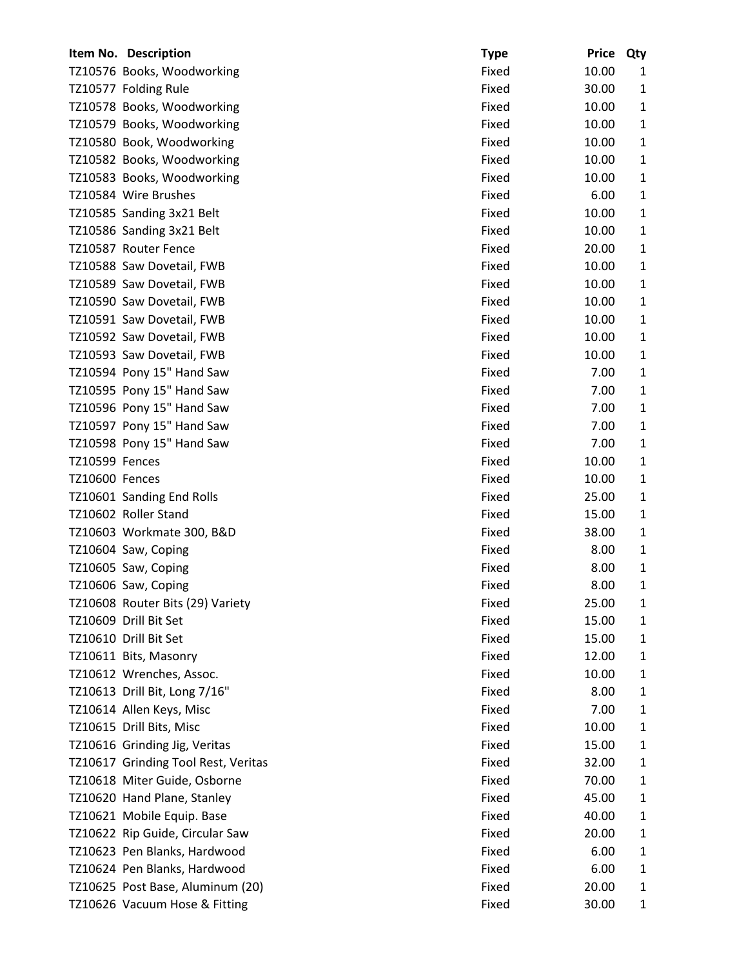|                | Item No. Description                | <b>Type</b> | <b>Price</b> | Qty          |
|----------------|-------------------------------------|-------------|--------------|--------------|
|                | TZ10576 Books, Woodworking          | Fixed       | 10.00        | 1            |
|                | TZ10577 Folding Rule                | Fixed       | 30.00        | 1            |
|                | TZ10578 Books, Woodworking          | Fixed       | 10.00        | 1            |
|                | TZ10579 Books, Woodworking          | Fixed       | 10.00        | 1            |
|                | TZ10580 Book, Woodworking           | Fixed       | 10.00        | 1            |
|                | TZ10582 Books, Woodworking          | Fixed       | 10.00        | $\mathbf{1}$ |
|                | TZ10583 Books, Woodworking          | Fixed       | 10.00        | 1            |
|                | TZ10584 Wire Brushes                | Fixed       | 6.00         | 1            |
|                | TZ10585 Sanding 3x21 Belt           | Fixed       | 10.00        | 1            |
|                | TZ10586 Sanding 3x21 Belt           | Fixed       | 10.00        | 1            |
|                | TZ10587 Router Fence                | Fixed       | 20.00        | $\mathbf{1}$ |
|                | TZ10588 Saw Dovetail, FWB           | Fixed       | 10.00        | 1            |
|                | TZ10589 Saw Dovetail, FWB           | Fixed       | 10.00        | 1            |
|                | TZ10590 Saw Dovetail, FWB           | Fixed       | 10.00        | 1            |
|                | TZ10591 Saw Dovetail, FWB           | Fixed       | 10.00        | $\mathbf{1}$ |
|                | TZ10592 Saw Dovetail, FWB           | Fixed       | 10.00        | $\mathbf{1}$ |
|                | TZ10593 Saw Dovetail, FWB           | Fixed       | 10.00        | $\mathbf{1}$ |
|                | TZ10594 Pony 15" Hand Saw           | Fixed       | 7.00         | 1            |
|                | TZ10595 Pony 15" Hand Saw           | Fixed       | 7.00         | 1            |
|                | TZ10596 Pony 15" Hand Saw           | Fixed       | 7.00         | $\mathbf{1}$ |
|                | TZ10597 Pony 15" Hand Saw           | Fixed       | 7.00         | 1            |
|                | TZ10598 Pony 15" Hand Saw           | Fixed       | 7.00         | $\mathbf{1}$ |
| TZ10599 Fences |                                     | Fixed       | 10.00        | 1            |
| TZ10600 Fences |                                     | Fixed       | 10.00        | 1            |
|                | TZ10601 Sanding End Rolls           | Fixed       | 25.00        | $\mathbf{1}$ |
|                | TZ10602 Roller Stand                | Fixed       | 15.00        | 1            |
|                | TZ10603 Workmate 300, B&D           | Fixed       | 38.00        | 1            |
|                | TZ10604 Saw, Coping                 | Fixed       | 8.00         | 1            |
|                | TZ10605 Saw, Coping                 | Fixed       | 8.00         | 1            |
|                | TZ10606 Saw, Coping                 | Fixed       | 8.00         | 1            |
|                | TZ10608 Router Bits (29) Variety    | Fixed       | 25.00        | 1            |
|                | TZ10609 Drill Bit Set               | Fixed       | 15.00        | 1            |
|                | TZ10610 Drill Bit Set               | Fixed       | 15.00        | 1            |
|                | TZ10611 Bits, Masonry               | Fixed       | 12.00        | 1            |
|                | TZ10612 Wrenches, Assoc.            | Fixed       | 10.00        | 1            |
|                | TZ10613 Drill Bit, Long 7/16"       | Fixed       | 8.00         | 1            |
|                | TZ10614 Allen Keys, Misc            | Fixed       | 7.00         | $\mathbf{1}$ |
|                | TZ10615 Drill Bits, Misc            | Fixed       | 10.00        | 1            |
|                | TZ10616 Grinding Jig, Veritas       | Fixed       | 15.00        | 1            |
|                | TZ10617 Grinding Tool Rest, Veritas | Fixed       | 32.00        | 1            |
|                | TZ10618 Miter Guide, Osborne        | Fixed       | 70.00        | 1            |
|                | TZ10620 Hand Plane, Stanley         | Fixed       | 45.00        | $\mathbf{1}$ |
|                | TZ10621 Mobile Equip. Base          | Fixed       | 40.00        | 1            |
|                | TZ10622 Rip Guide, Circular Saw     | Fixed       | 20.00        | 1            |
|                | TZ10623 Pen Blanks, Hardwood        | Fixed       | 6.00         | 1            |
|                | TZ10624 Pen Blanks, Hardwood        | Fixed       | 6.00         | 1            |
|                | TZ10625 Post Base, Aluminum (20)    | Fixed       | 20.00        | 1            |
|                | TZ10626 Vacuum Hose & Fitting       | Fixed       | 30.00        | 1            |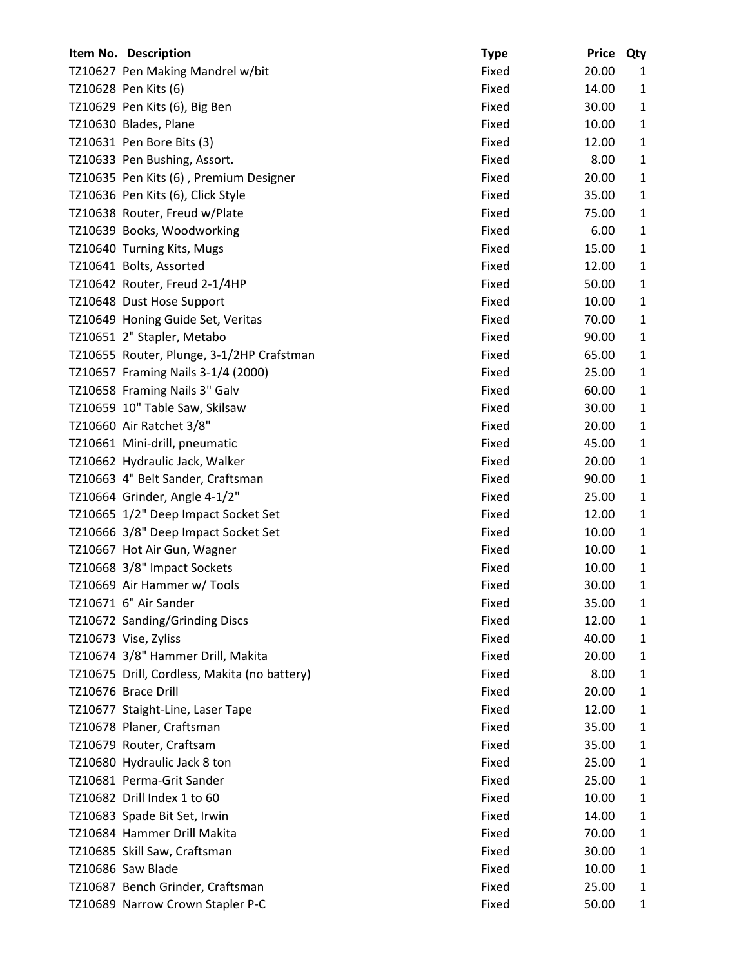| Item No. Description                         | <b>Type</b> | <b>Price</b> | Qty          |
|----------------------------------------------|-------------|--------------|--------------|
| TZ10627 Pen Making Mandrel w/bit             | Fixed       | 20.00        | 1            |
| TZ10628 Pen Kits (6)                         | Fixed       | 14.00        | $\mathbf{1}$ |
| TZ10629 Pen Kits (6), Big Ben                | Fixed       | 30.00        | $\mathbf{1}$ |
| TZ10630 Blades, Plane                        | Fixed       | 10.00        | $\mathbf{1}$ |
| TZ10631 Pen Bore Bits (3)                    | Fixed       | 12.00        | $\mathbf{1}$ |
| TZ10633 Pen Bushing, Assort.                 | Fixed       | 8.00         | $\mathbf{1}$ |
| TZ10635 Pen Kits (6), Premium Designer       | Fixed       | 20.00        | $\mathbf{1}$ |
| TZ10636 Pen Kits (6), Click Style            | Fixed       | 35.00        | $\mathbf{1}$ |
| TZ10638 Router, Freud w/Plate                | Fixed       | 75.00        | $\mathbf{1}$ |
| TZ10639 Books, Woodworking                   | Fixed       | 6.00         | $\mathbf{1}$ |
| TZ10640 Turning Kits, Mugs                   | Fixed       | 15.00        | $\mathbf{1}$ |
| TZ10641 Bolts, Assorted                      | Fixed       | 12.00        | $\mathbf{1}$ |
| TZ10642 Router, Freud 2-1/4HP                | Fixed       | 50.00        | $\mathbf{1}$ |
| TZ10648 Dust Hose Support                    | Fixed       | 10.00        | $\mathbf{1}$ |
| TZ10649 Honing Guide Set, Veritas            | Fixed       | 70.00        | $\mathbf{1}$ |
| TZ10651 2" Stapler, Metabo                   | Fixed       | 90.00        | $\mathbf{1}$ |
| TZ10655 Router, Plunge, 3-1/2HP Crafstman    | Fixed       | 65.00        | $\mathbf{1}$ |
| TZ10657 Framing Nails 3-1/4 (2000)           | Fixed       | 25.00        | $\mathbf{1}$ |
| TZ10658 Framing Nails 3" Galv                | Fixed       | 60.00        | $\mathbf{1}$ |
| TZ10659 10" Table Saw, Skilsaw               | Fixed       | 30.00        | $\mathbf{1}$ |
| TZ10660 Air Ratchet 3/8"                     | Fixed       | 20.00        | $\mathbf{1}$ |
| TZ10661 Mini-drill, pneumatic                | Fixed       | 45.00        | $\mathbf{1}$ |
| TZ10662 Hydraulic Jack, Walker               | Fixed       | 20.00        | $\mathbf{1}$ |
| TZ10663 4" Belt Sander, Craftsman            | Fixed       | 90.00        | $\mathbf{1}$ |
| TZ10664 Grinder, Angle 4-1/2"                | Fixed       | 25.00        | $\mathbf{1}$ |
| TZ10665 1/2" Deep Impact Socket Set          | Fixed       | 12.00        | $\mathbf{1}$ |
| TZ10666 3/8" Deep Impact Socket Set          | Fixed       | 10.00        | $\mathbf{1}$ |
| TZ10667 Hot Air Gun, Wagner                  | Fixed       | 10.00        | $\mathbf{1}$ |
| TZ10668 3/8" Impact Sockets                  | Fixed       | 10.00        | $\mathbf{1}$ |
| TZ10669 Air Hammer w/ Tools                  | Fixed       | 30.00        | $\mathbf{1}$ |
| TZ10671 6" Air Sander                        | Fixed       | 35.00        | 1            |
| TZ10672 Sanding/Grinding Discs               | Fixed       | 12.00        | $\mathbf{1}$ |
| TZ10673 Vise, Zyliss                         | Fixed       | 40.00        | $\mathbf{1}$ |
| TZ10674 3/8" Hammer Drill, Makita            | Fixed       | 20.00        | $\mathbf{1}$ |
| TZ10675 Drill, Cordless, Makita (no battery) | Fixed       | 8.00         | $\mathbf{1}$ |
| TZ10676 Brace Drill                          | Fixed       | 20.00        | $\mathbf{1}$ |
| TZ10677 Staight-Line, Laser Tape             | Fixed       | 12.00        | $\mathbf{1}$ |
| TZ10678 Planer, Craftsman                    | Fixed       | 35.00        | $\mathbf{1}$ |
| TZ10679 Router, Craftsam                     | Fixed       | 35.00        | $\mathbf{1}$ |
| TZ10680 Hydraulic Jack 8 ton                 | Fixed       | 25.00        | $\mathbf{1}$ |
| TZ10681 Perma-Grit Sander                    | Fixed       | 25.00        | $\mathbf{1}$ |
| TZ10682 Drill Index 1 to 60                  | Fixed       | 10.00        | $\mathbf{1}$ |
| TZ10683 Spade Bit Set, Irwin                 | Fixed       | 14.00        | $\mathbf{1}$ |
| TZ10684 Hammer Drill Makita                  | Fixed       | 70.00        | $\mathbf{1}$ |
| TZ10685 Skill Saw, Craftsman                 | Fixed       | 30.00        | $\mathbf{1}$ |
| TZ10686 Saw Blade                            | Fixed       | 10.00        | $\mathbf{1}$ |
| TZ10687 Bench Grinder, Craftsman             | Fixed       | 25.00        | 1            |
| TZ10689 Narrow Crown Stapler P-C             | Fixed       | 50.00        | 1            |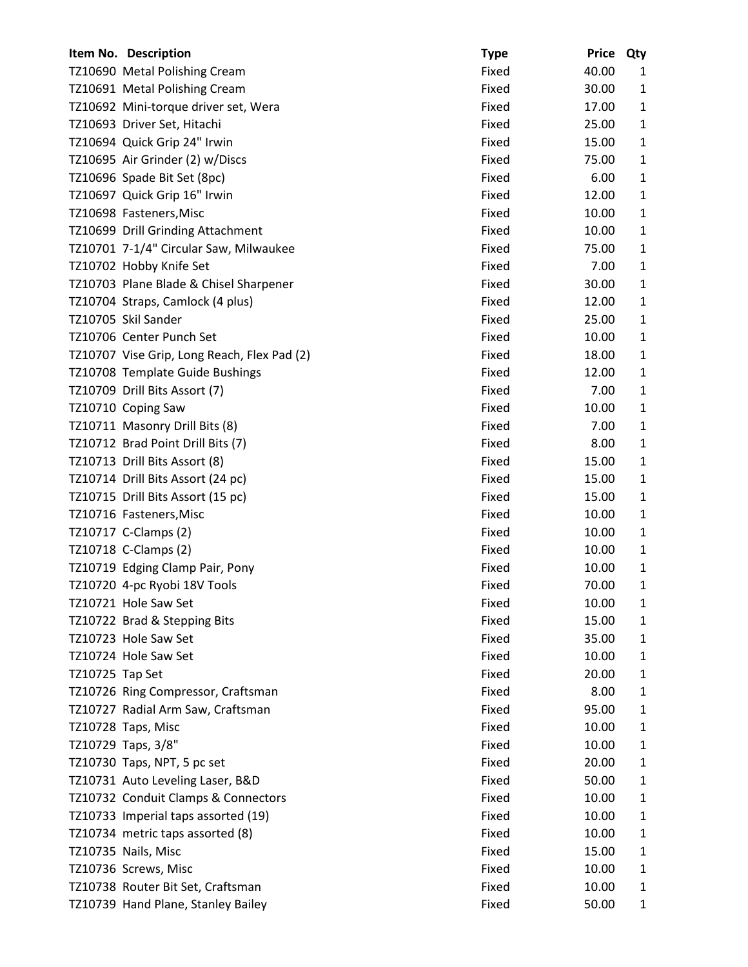|                 | Item No. Description                        | <b>Type</b> | <b>Price</b> | Qty          |
|-----------------|---------------------------------------------|-------------|--------------|--------------|
|                 | TZ10690 Metal Polishing Cream               | Fixed       | 40.00        | 1            |
|                 | TZ10691 Metal Polishing Cream               | Fixed       | 30.00        | $\mathbf{1}$ |
|                 | TZ10692 Mini-torque driver set, Wera        | Fixed       | 17.00        | $\mathbf{1}$ |
|                 | TZ10693 Driver Set, Hitachi                 | Fixed       | 25.00        | $\mathbf{1}$ |
|                 | TZ10694 Quick Grip 24" Irwin                | Fixed       | 15.00        | $\mathbf{1}$ |
|                 | TZ10695 Air Grinder (2) w/Discs             | Fixed       | 75.00        | $\mathbf{1}$ |
|                 | TZ10696 Spade Bit Set (8pc)                 | Fixed       | 6.00         | $\mathbf{1}$ |
|                 | TZ10697 Quick Grip 16" Irwin                | Fixed       | 12.00        | $\mathbf{1}$ |
|                 | TZ10698 Fasteners, Misc                     | Fixed       | 10.00        | 1            |
|                 | TZ10699 Drill Grinding Attachment           | Fixed       | 10.00        | $\mathbf{1}$ |
|                 | TZ10701 7-1/4" Circular Saw, Milwaukee      | Fixed       | 75.00        | $\mathbf{1}$ |
|                 | TZ10702 Hobby Knife Set                     | Fixed       | 7.00         | $\mathbf{1}$ |
|                 | TZ10703 Plane Blade & Chisel Sharpener      | Fixed       | 30.00        | $\mathbf{1}$ |
|                 | TZ10704 Straps, Camlock (4 plus)            | Fixed       | 12.00        | 1            |
|                 | TZ10705 Skil Sander                         | Fixed       | 25.00        | $\mathbf{1}$ |
|                 | TZ10706 Center Punch Set                    | Fixed       | 10.00        | $\mathbf{1}$ |
|                 | TZ10707 Vise Grip, Long Reach, Flex Pad (2) | Fixed       | 18.00        | $\mathbf{1}$ |
|                 | TZ10708 Template Guide Bushings             | Fixed       | 12.00        | 1            |
|                 | TZ10709 Drill Bits Assort (7)               | Fixed       | 7.00         | $\mathbf{1}$ |
|                 | TZ10710 Coping Saw                          | Fixed       | 10.00        | $\mathbf{1}$ |
|                 | TZ10711 Masonry Drill Bits (8)              | Fixed       | 7.00         | $\mathbf{1}$ |
|                 | TZ10712 Brad Point Drill Bits (7)           | Fixed       | 8.00         | $\mathbf{1}$ |
|                 | TZ10713 Drill Bits Assort (8)               | Fixed       | 15.00        | $\mathbf{1}$ |
|                 | TZ10714 Drill Bits Assort (24 pc)           | Fixed       | 15.00        | $\mathbf{1}$ |
|                 | TZ10715 Drill Bits Assort (15 pc)           | Fixed       | 15.00        | $\mathbf{1}$ |
|                 | TZ10716 Fasteners, Misc                     | Fixed       | 10.00        | $\mathbf{1}$ |
|                 | TZ10717 C-Clamps (2)                        | Fixed       | 10.00        | $\mathbf{1}$ |
|                 | TZ10718 C-Clamps (2)                        | Fixed       | 10.00        | 1            |
|                 | TZ10719 Edging Clamp Pair, Pony             | Fixed       | 10.00        | $\mathbf{1}$ |
|                 | TZ10720 4-pc Ryobi 18V Tools                | Fixed       | 70.00        | 1            |
|                 | TZ10721 Hole Saw Set                        | Fixed       | 10.00        | 1            |
|                 | TZ10722 Brad & Stepping Bits                | Fixed       | 15.00        | $\mathbf{1}$ |
|                 | TZ10723 Hole Saw Set                        | Fixed       | 35.00        | 1            |
|                 | TZ10724 Hole Saw Set                        | Fixed       | 10.00        | 1            |
| TZ10725 Tap Set |                                             | Fixed       | 20.00        | 1            |
|                 | TZ10726 Ring Compressor, Craftsman          | Fixed       | 8.00         | 1            |
|                 | TZ10727 Radial Arm Saw, Craftsman           | Fixed       | 95.00        | $\mathbf{1}$ |
|                 | TZ10728 Taps, Misc                          | Fixed       | 10.00        | $\mathbf{1}$ |
|                 | TZ10729 Taps, 3/8"                          | Fixed       | 10.00        | $\mathbf{1}$ |
|                 | TZ10730 Taps, NPT, 5 pc set                 | Fixed       | 20.00        | 1            |
|                 | TZ10731 Auto Leveling Laser, B&D            | Fixed       | 50.00        | $\mathbf{1}$ |
|                 | TZ10732 Conduit Clamps & Connectors         | Fixed       | 10.00        | $\mathbf{1}$ |
|                 | TZ10733 Imperial taps assorted (19)         | Fixed       | 10.00        | $\mathbf{1}$ |
|                 | TZ10734 metric taps assorted (8)            | Fixed       | 10.00        | 1            |
|                 | TZ10735 Nails, Misc                         | Fixed       | 15.00        | 1            |
|                 | TZ10736 Screws, Misc                        | Fixed       | 10.00        | $\mathbf{1}$ |
|                 | TZ10738 Router Bit Set, Craftsman           | Fixed       | 10.00        | 1            |
|                 | TZ10739 Hand Plane, Stanley Bailey          | Fixed       | 50.00        | $\mathbf{1}$ |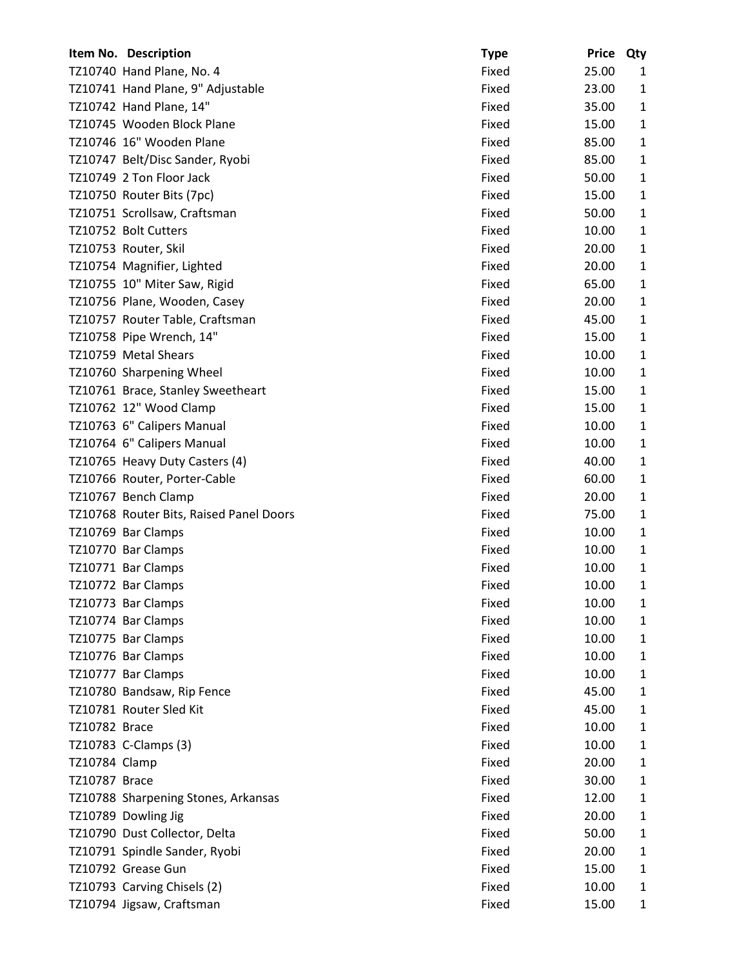|               | Item No. Description                    | <b>Type</b> | <b>Price</b> | Qty          |
|---------------|-----------------------------------------|-------------|--------------|--------------|
|               | TZ10740 Hand Plane, No. 4               | Fixed       | 25.00        | 1            |
|               | TZ10741 Hand Plane, 9" Adjustable       | Fixed       | 23.00        | $\mathbf{1}$ |
|               | TZ10742 Hand Plane, 14"                 | Fixed       | 35.00        | $\mathbf{1}$ |
|               | TZ10745 Wooden Block Plane              | Fixed       | 15.00        | $\mathbf{1}$ |
|               | TZ10746 16" Wooden Plane                | Fixed       | 85.00        | $\mathbf{1}$ |
|               | TZ10747 Belt/Disc Sander, Ryobi         | Fixed       | 85.00        | $\mathbf{1}$ |
|               | TZ10749 2 Ton Floor Jack                | Fixed       | 50.00        | $\mathbf{1}$ |
|               | TZ10750 Router Bits (7pc)               | Fixed       | 15.00        | $\mathbf{1}$ |
|               | TZ10751 Scrollsaw, Craftsman            | Fixed       | 50.00        | $\mathbf{1}$ |
|               | TZ10752 Bolt Cutters                    | Fixed       | 10.00        | $\mathbf{1}$ |
|               | TZ10753 Router, Skil                    | Fixed       | 20.00        | $\mathbf{1}$ |
|               | TZ10754 Magnifier, Lighted              | Fixed       | 20.00        | $\mathbf{1}$ |
|               | TZ10755 10" Miter Saw, Rigid            | Fixed       | 65.00        | $\mathbf{1}$ |
|               | TZ10756 Plane, Wooden, Casey            | Fixed       | 20.00        | 1            |
|               | TZ10757 Router Table, Craftsman         | Fixed       | 45.00        | $\mathbf{1}$ |
|               | TZ10758 Pipe Wrench, 14"                | Fixed       | 15.00        | $\mathbf{1}$ |
|               | TZ10759 Metal Shears                    | Fixed       | 10.00        | $\mathbf{1}$ |
|               | TZ10760 Sharpening Wheel                | Fixed       | 10.00        | $\mathbf{1}$ |
|               | TZ10761 Brace, Stanley Sweetheart       | Fixed       | 15.00        | $\mathbf{1}$ |
|               | TZ10762 12" Wood Clamp                  | Fixed       | 15.00        | $\mathbf{1}$ |
|               | TZ10763 6" Calipers Manual              | Fixed       | 10.00        | $\mathbf{1}$ |
|               | TZ10764 6" Calipers Manual              | Fixed       | 10.00        | $\mathbf{1}$ |
|               | TZ10765 Heavy Duty Casters (4)          | Fixed       | 40.00        | $\mathbf{1}$ |
|               | TZ10766 Router, Porter-Cable            | Fixed       | 60.00        | $\mathbf{1}$ |
|               | TZ10767 Bench Clamp                     | Fixed       | 20.00        | $\mathbf{1}$ |
|               | TZ10768 Router Bits, Raised Panel Doors | Fixed       | 75.00        | $\mathbf{1}$ |
|               | TZ10769 Bar Clamps                      | Fixed       | 10.00        | $\mathbf{1}$ |
|               | TZ10770 Bar Clamps                      | Fixed       | 10.00        | $\mathbf{1}$ |
|               | TZ10771 Bar Clamps                      | Fixed       | 10.00        | $\mathbf{1}$ |
|               | TZ10772 Bar Clamps                      | Fixed       | 10.00        | 1            |
|               | TZ10773 Bar Clamps                      | Fixed       | 10.00        | 1            |
|               | TZ10774 Bar Clamps                      | Fixed       | 10.00        | $\mathbf{1}$ |
|               | TZ10775 Bar Clamps                      | Fixed       | 10.00        | $\mathbf{1}$ |
|               | TZ10776 Bar Clamps                      | Fixed       | 10.00        | $\mathbf{1}$ |
|               | TZ10777 Bar Clamps                      | Fixed       | 10.00        | $\mathbf{1}$ |
|               | TZ10780 Bandsaw, Rip Fence              | Fixed       | 45.00        | 1            |
|               | TZ10781 Router Sled Kit                 | Fixed       | 45.00        | $\mathbf{1}$ |
| TZ10782 Brace |                                         | Fixed       | 10.00        | $\mathbf{1}$ |
|               | TZ10783 C-Clamps (3)                    | Fixed       | 10.00        | $\mathbf{1}$ |
| TZ10784 Clamp |                                         | Fixed       | 20.00        | $\mathbf{1}$ |
| TZ10787 Brace |                                         | Fixed       | 30.00        | 1            |
|               | TZ10788 Sharpening Stones, Arkansas     | Fixed       | 12.00        | $\mathbf{1}$ |
|               | TZ10789 Dowling Jig                     | Fixed       | 20.00        | $\mathbf{1}$ |
|               | TZ10790 Dust Collector, Delta           | Fixed       | 50.00        | $\mathbf{1}$ |
|               | TZ10791 Spindle Sander, Ryobi           | Fixed       | 20.00        | 1            |
|               | TZ10792 Grease Gun                      | Fixed       | 15.00        | $\mathbf{1}$ |
|               | TZ10793 Carving Chisels (2)             | Fixed       | 10.00        | 1            |
|               | TZ10794 Jigsaw, Craftsman               | Fixed       | 15.00        | $\mathbf{1}$ |